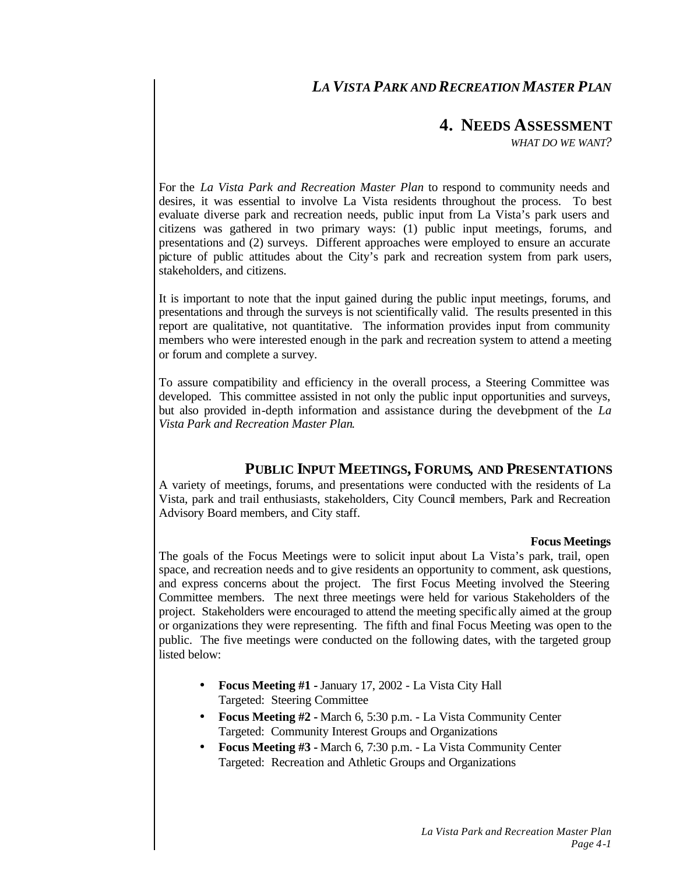# *LA VISTA PARK AND RECREATION MASTER PLAN*

# **4. NEEDS ASSESSMENT**

*WHAT DO WE WANT?*

For the *La Vista Park and Recreation Master Plan* to respond to community needs and desires, it was essential to involve La Vista residents throughout the process. To best evaluate diverse park and recreation needs, public input from La Vista's park users and citizens was gathered in two primary ways: (1) public input meetings, forums, and presentations and (2) surveys. Different approaches were employed to ensure an accurate picture of public attitudes about the City's park and recreation system from park users, stakeholders, and citizens.

It is important to note that the input gained during the public input meetings, forums, and presentations and through the surveys is not scientifically valid. The results presented in this report are qualitative, not quantitative. The information provides input from community members who were interested enough in the park and recreation system to attend a meeting or forum and complete a survey.

To assure compatibility and efficiency in the overall process, a Steering Committee was developed. This committee assisted in not only the public input opportunities and surveys, but also provided in-depth information and assistance during the development of the *La Vista Park and Recreation Master Plan*.

# **PUBLIC INPUT MEETINGS, FORUMS, AND PRESENTATIONS**

A variety of meetings, forums, and presentations were conducted with the residents of La Vista, park and trail enthusiasts, stakeholders, City Council members, Park and Recreation Advisory Board members, and City staff.

#### **Focus Meetings**

The goals of the Focus Meetings were to solicit input about La Vista's park, trail, open space, and recreation needs and to give residents an opportunity to comment, ask questions, and express concerns about the project. The first Focus Meeting involved the Steering Committee members. The next three meetings were held for various Stakeholders of the project. Stakeholders were encouraged to attend the meeting specific ally aimed at the group or organizations they were representing. The fifth and final Focus Meeting was open to the public. The five meetings were conducted on the following dates, with the targeted group listed below:

- **Focus Meeting #1 -** January 17, 2002 La Vista City Hall Targeted: Steering Committee
- **Focus Meeting #2 -** March 6, 5:30 p.m. La Vista Community Center Targeted: Community Interest Groups and Organizations
- **Focus Meeting #3 -** March 6, 7:30 p.m. La Vista Community Center Targeted: Recreation and Athletic Groups and Organizations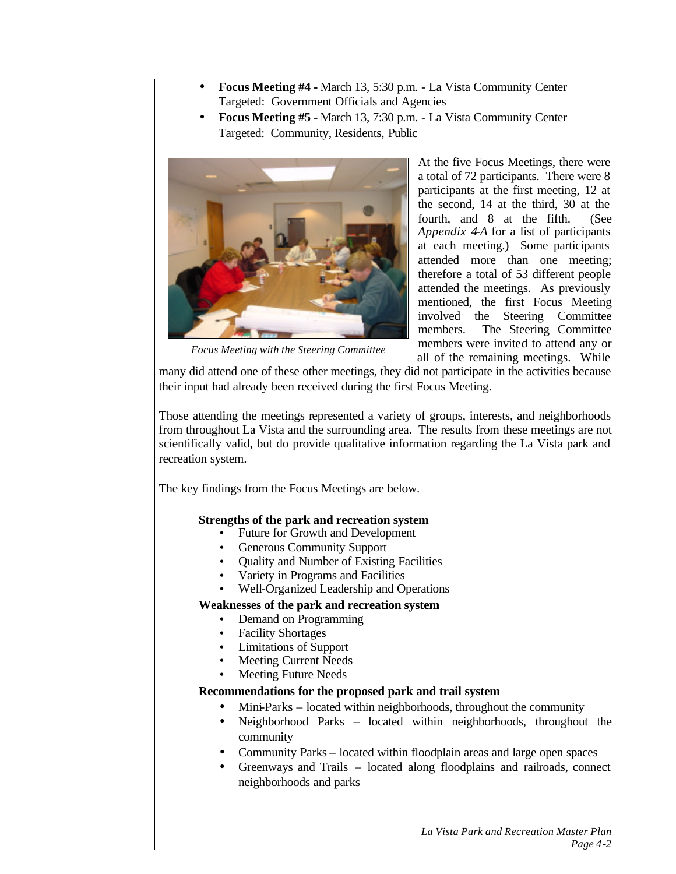- **Focus Meeting #4 -** March 13, 5:30 p.m. La Vista Community Center Targeted: Government Officials and Agencies
- **Focus Meeting #5 -** March 13, 7:30 p.m. La Vista Community Center Targeted: Community, Residents, Public



*Focus Meeting with the Steering Committee*

At the five Focus Meetings, there were a total of 72 participants. There were 8 participants at the first meeting, 12 at the second, 14 at the third, 30 at the fourth, and 8 at the fifth. (See *Appendix 4-A* for a list of participants at each meeting.) Some participants attended more than one meeting; therefore a total of 53 different people attended the meetings. As previously mentioned, the first Focus Meeting involved the Steering Committee members. The Steering Committee members were invited to attend any or all of the remaining meetings. While

many did attend one of these other meetings, they did not participate in the activities because their input had already been received during the first Focus Meeting.

Those attending the meetings represented a variety of groups, interests, and neighborhoods from throughout La Vista and the surrounding area. The results from these meetings are not scientifically valid, but do provide qualitative information regarding the La Vista park and recreation system.

The key findings from the Focus Meetings are below.

# **Strengths of the park and recreation system**

- Future for Growth and Development
- Generous Community Support
- Quality and Number of Existing Facilities
- Variety in Programs and Facilities
- Well-Organized Leadership and Operations

# **Weaknesses of the park and recreation system**

- Demand on Programming
- Facility Shortages
- Limitations of Support
- Meeting Current Needs
- Meeting Future Needs

# **Recommendations for the proposed park and trail system**

- Mini-Parks located within neighborhoods, throughout the community
- Neighborhood Parks located within neighborhoods, throughout the community
- Community Parks located within floodplain areas and large open spaces
- Greenways and Trails located along floodplains and railroads, connect neighborhoods and parks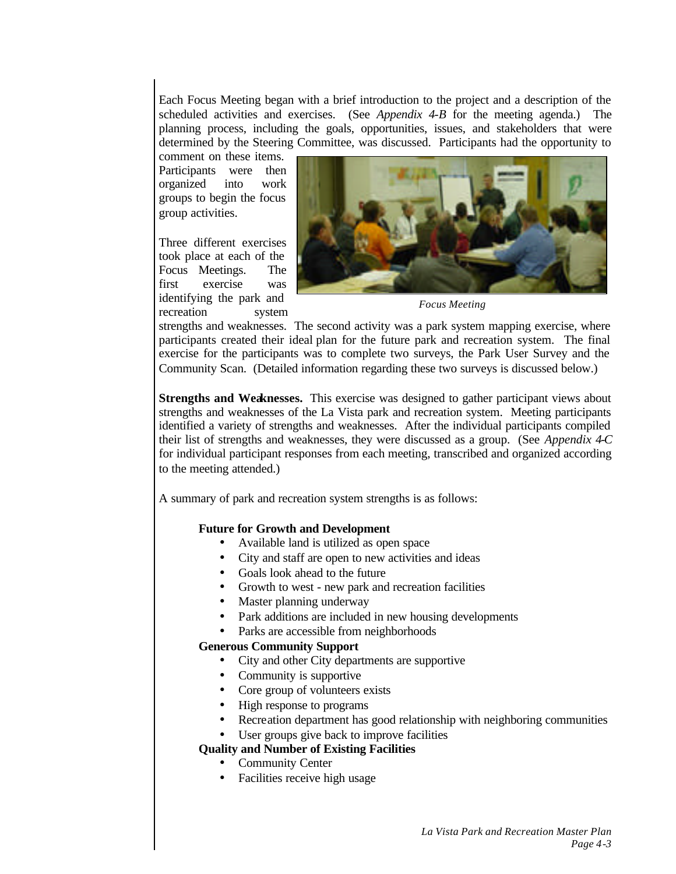Each Focus Meeting began with a brief introduction to the project and a description of the scheduled activities and exercises. (See *Appendix 4-B* for the meeting agenda.) The planning process, including the goals, opportunities, issues, and stakeholders that were determined by the Steering Committee, was discussed. Participants had the opportunity to

comment on these items. Participants were then organized into work groups to begin the focus group activities.

Three different exercises took place at each of the Focus Meetings. The first exercise was identifying the park and recreation system



*Focus Meeting*

strengths and weaknesses. The second activity was a park system mapping exercise, where participants created their ideal plan for the future park and recreation system. The final exercise for the participants was to complete two surveys, the Park User Survey and the Community Scan. (Detailed information regarding these two surveys is discussed below.)

**Strengths and Weaknesses.** This exercise was designed to gather participant views about strengths and weaknesses of the La Vista park and recreation system. Meeting participants identified a variety of strengths and weaknesses. After the individual participants compiled their list of strengths and weaknesses, they were discussed as a group. (See *Appendix 4-C* for individual participant responses from each meeting, transcribed and organized according to the meeting attended.)

A summary of park and recreation system strengths is as follows:

# **Future for Growth and Development**

- Available land is utilized as open space
- City and staff are open to new activities and ideas
- Goals look ahead to the future
- Growth to west new park and recreation facilities
- Master planning underway
- Park additions are included in new housing developments
- Parks are accessible from neighborhoods

# **Generous Community Support**

- City and other City departments are supportive
- Community is supportive
- Core group of volunteers exists
- High response to programs
- Recreation department has good relationship with neighboring communities
- User groups give back to improve facilities

# **Quality and Number of Existing Facilities**

- Community Center
- Facilities receive high usage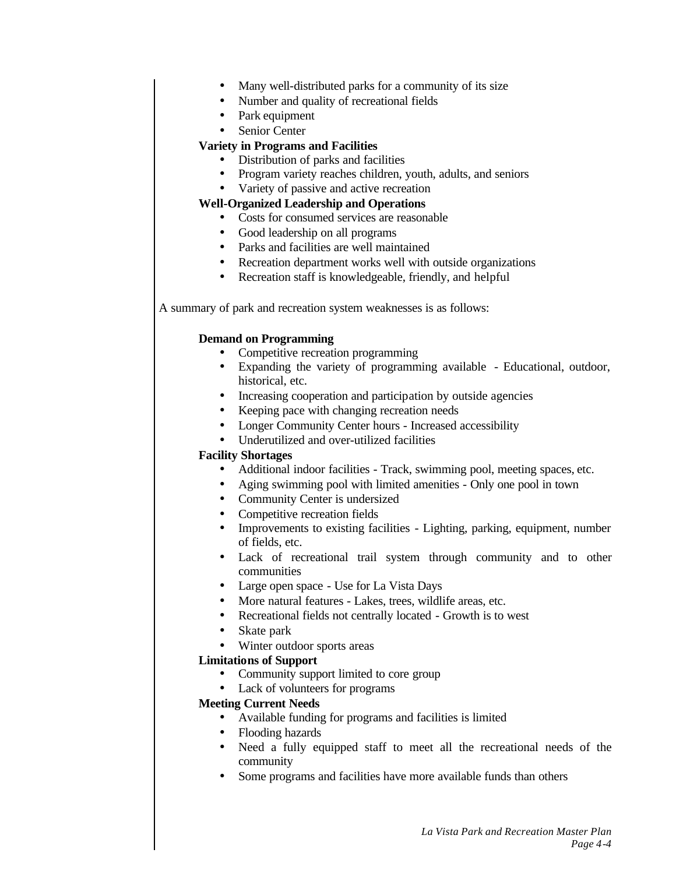- Many well-distributed parks for a community of its size
- Number and quality of recreational fields
- Park equipment
- Senior Center

# **Variety in Programs and Facilities**

- Distribution of parks and facilities
- Program variety reaches children, youth, adults, and seniors
- Variety of passive and active recreation

# **Well-Organized Leadership and Operations**

- Costs for consumed services are reasonable
- Good leadership on all programs
- Parks and facilities are well maintained
- Recreation department works well with outside organizations
- Recreation staff is knowledgeable, friendly, and helpful

A summary of park and recreation system weaknesses is as follows:

# **Demand on Programming**

- Competitive recreation programming
- Expanding the variety of programming available Educational, outdoor, historical, etc.
- Increasing cooperation and participation by outside agencies
- Keeping pace with changing recreation needs
- Longer Community Center hours Increased accessibility
- Underutilized and over-utilized facilities

# **Facility Shortages**

- Additional indoor facilities Track, swimming pool, meeting spaces, etc.
- Aging swimming pool with limited amenities Only one pool in town
- Community Center is undersized
- Competitive recreation fields
- Improvements to existing facilities Lighting, parking, equipment, number of fields, etc.
- Lack of recreational trail system through community and to other communities
- Large open space Use for La Vista Days
- More natural features Lakes, trees, wildlife areas, etc.
- Recreational fields not centrally located Growth is to west
- Skate park
- Winter outdoor sports areas

# **Limitations of Support**

- Community support limited to core group
- Lack of volunteers for programs

# **Meeting Current Needs**

- Available funding for programs and facilities is limited
- Flooding hazards
- Need a fully equipped staff to meet all the recreational needs of the community
- Some programs and facilities have more available funds than others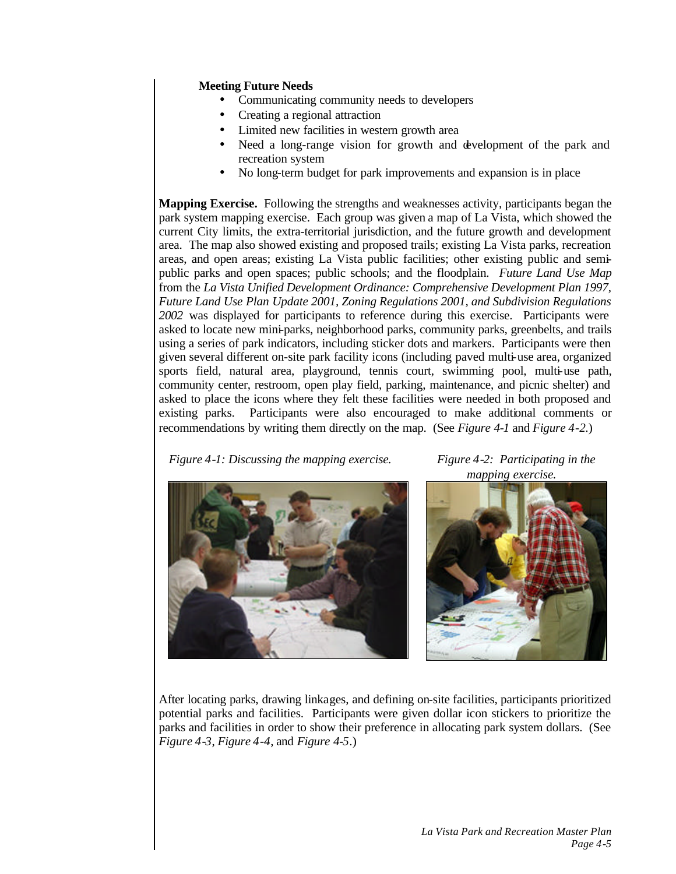# **Meeting Future Needs**

- Communicating community needs to developers
- Creating a regional attraction
- Limited new facilities in western growth area
- Need a long-range vision for growth and development of the park and recreation system
- No long-term budget for park improvements and expansion is in place

**Mapping Exercise.** Following the strengths and weaknesses activity, participants began the park system mapping exercise. Each group was given a map of La Vista, which showed the current City limits, the extra-territorial jurisdiction, and the future growth and development area. The map also showed existing and proposed trails; existing La Vista parks, recreation areas, and open areas; existing La Vista public facilities; other existing public and semipublic parks and open spaces; public schools; and the floodplain. *Future Land Use Map* from the *La Vista Unified Development Ordinance: Comprehensive Development Plan 1997, Future Land Use Plan Update 2001, Zoning Regulations 2001, and Subdivision Regulations 2002* was displayed for participants to reference during this exercise. Participants were asked to locate new mini-parks, neighborhood parks, community parks, greenbelts, and trails using a series of park indicators, including sticker dots and markers. Participants were then given several different on-site park facility icons (including paved multi-use area, organized sports field, natural area, playground, tennis court, swimming pool, multi-use path, community center, restroom, open play field, parking, maintenance, and picnic shelter) and asked to place the icons where they felt these facilities were needed in both proposed and existing parks. Participants were also encouraged to make additional comments or recommendations by writing them directly on the map. (See *Figure 4-1* and *Figure 4-2*.)

*Figure 4-1: Discussing the mapping exercise. Figure 4-2: Participating in the* 

*mapping exercise.*





After locating parks, drawing linkages, and defining on-site facilities, participants prioritized potential parks and facilities. Participants were given dollar icon stickers to prioritize the parks and facilities in order to show their preference in allocating park system dollars. (See *Figure 4-3*, *Figure 4-4*, and *Figure 4-5*.)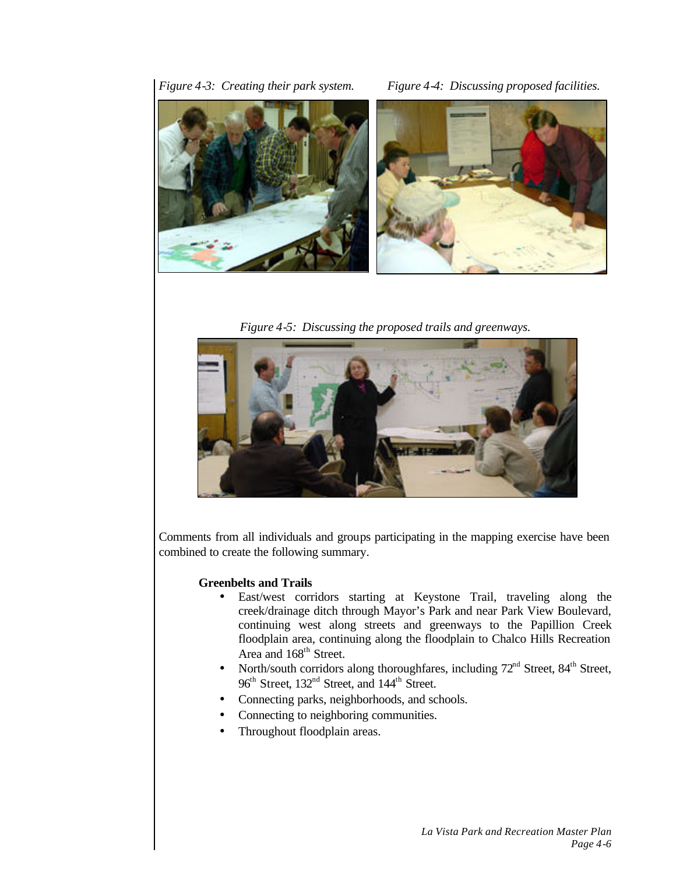*Figure 4-3: Creating their park system. Figure 4-4: Discussing proposed facilities.*



*Figure 4-5: Discussing the proposed trails and greenways.*



Comments from all individuals and groups participating in the mapping exercise have been combined to create the following summary.

# **Greenbelts and Trails**

- East/west corridors starting at Keystone Trail, traveling along the creek/drainage ditch through Mayor's Park and near Park View Boulevard, continuing west along streets and greenways to the Papillion Creek floodplain area, continuing along the floodplain to Chalco Hills Recreation Area and 168<sup>th</sup> Street.
- North/south corridors along thoroughfares, including  $72<sup>nd</sup>$  Street,  $84<sup>th</sup>$  Street,  $96<sup>th</sup>$  Street, 132<sup>nd</sup> Street, and 144<sup>th</sup> Street.
- Connecting parks, neighborhoods, and schools.
- Connecting to neighboring communities.
- Throughout floodplain areas.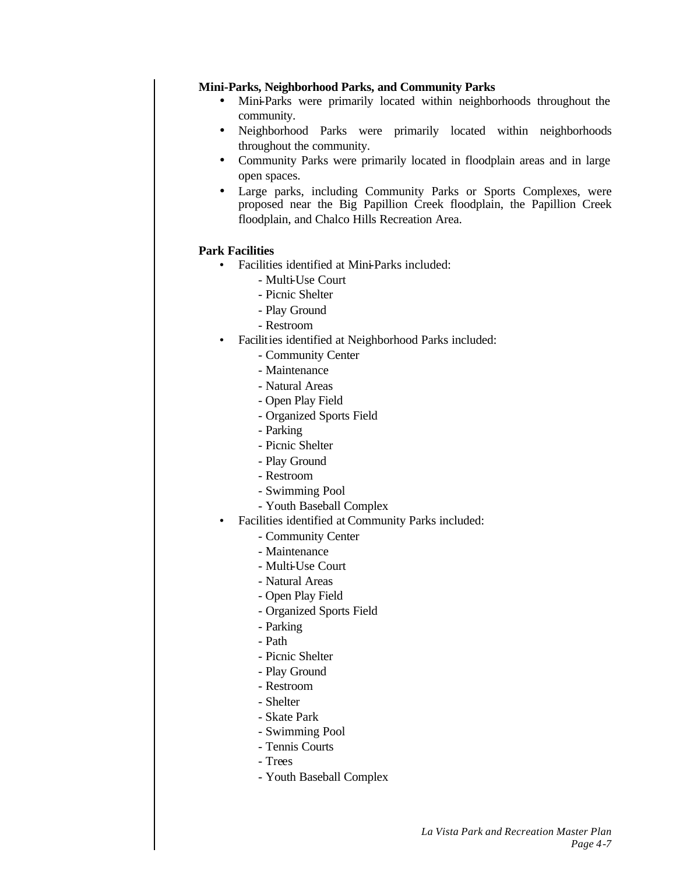# **Mini-Parks, Neighborhood Parks, and Community Parks**

- Mini-Parks were primarily located within neighborhoods throughout the community.
- Neighborhood Parks were primarily located within neighborhoods throughout the community.
- Community Parks were primarily located in floodplain areas and in large open spaces.
- Large parks, including Community Parks or Sports Complexes, were proposed near the Big Papillion Creek floodplain, the Papillion Creek floodplain, and Chalco Hills Recreation Area.

# **Park Facilities**

- Facilities identified at Mini-Parks included:
	- Multi-Use Court
	- Picnic Shelter
	- Play Ground
	- Restroom
- Facilities identified at Neighborhood Parks included:
	- Community Center
	- Maintenance
	- Natural Areas
	- Open Play Field
	- Organized Sports Field
	- Parking
	- Picnic Shelter
	- Play Ground
	- Restroom
	- Swimming Pool
	- Youth Baseball Complex
- Facilities identified at Community Parks included:
	- Community Center
	- Maintenance
	- Multi-Use Court
	- Natural Areas
	- Open Play Field
	- Organized Sports Field
	- Parking
	- Path
	- Picnic Shelter
	- Play Ground
	- Restroom
	- Shelter
	- Skate Park
	- Swimming Pool
	- Tennis Courts
	- Trees
	- Youth Baseball Complex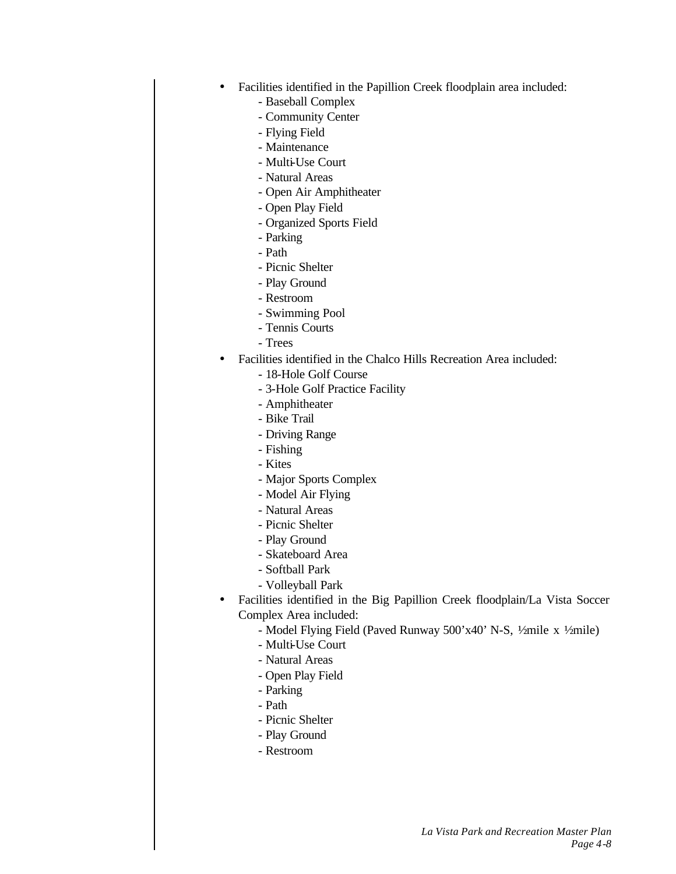- Facilities identified in the Papillion Creek floodplain area included:
	- Baseball Complex
	- Community Center
	- Flying Field
	- Maintenance
	- Multi-Use Court
	- Natural Areas
	- Open Air Amphitheater
	- Open Play Field
	- Organized Sports Field
	- Parking
	- Path
	- Picnic Shelter
	- Play Ground
	- Restroom
	- Swimming Pool
	- Tennis Courts
	- Trees
- Facilities identified in the Chalco Hills Recreation Area included:
	- 18-Hole Golf Course
	- 3-Hole Golf Practice Facility
	- Amphitheater
	- Bike Trail
	- Driving Range
	- Fishing
	- Kites
	- Major Sports Complex
	- Model Air Flying
	- Natural Areas
	- Picnic Shelter
	- Play Ground
	- Skateboard Area
	- Softball Park
	- Volleyball Park
- Facilities identified in the Big Papillion Creek floodplain/La Vista Soccer Complex Area included:
	- Model Flying Field (Paved Runway 500'x40' N-S, ½ mile x ½ mile)
	- Multi-Use Court
	- Natural Areas
	- Open Play Field
	- Parking
	- Path
	- Picnic Shelter
	- Play Ground
	- Restroom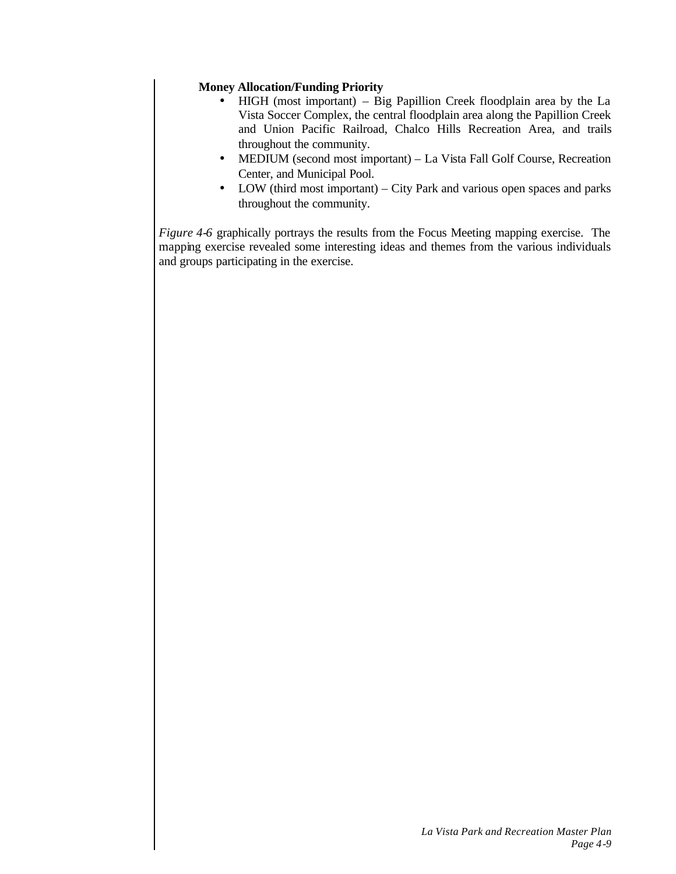# **Money Allocation/Funding Priority**

- HIGH (most important) Big Papillion Creek floodplain area by the La Vista Soccer Complex, the central floodplain area along the Papillion Creek and Union Pacific Railroad, Chalco Hills Recreation Area, and trails throughout the community.
- MEDIUM (second most important) La Vista Fall Golf Course, Recreation Center, and Municipal Pool.
- LOW (third most important) City Park and various open spaces and parks throughout the community.

*Figure 4-6* graphically portrays the results from the Focus Meeting mapping exercise. The mapping exercise revealed some interesting ideas and themes from the various individuals and groups participating in the exercise.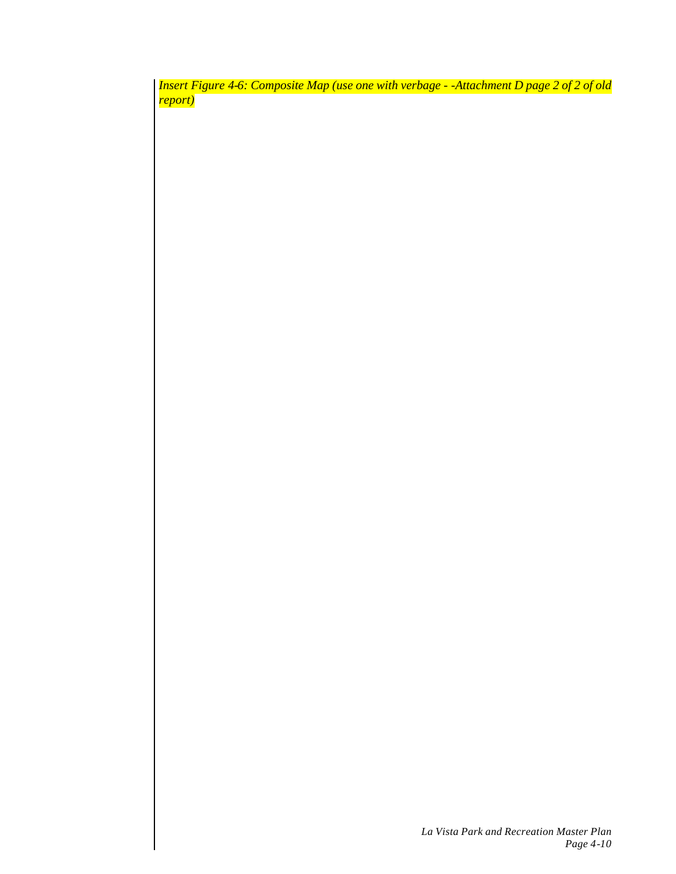*Insert Figure 4-6: Composite Map (use one with verbage - -Attachment D page 2 of 2 of old report)*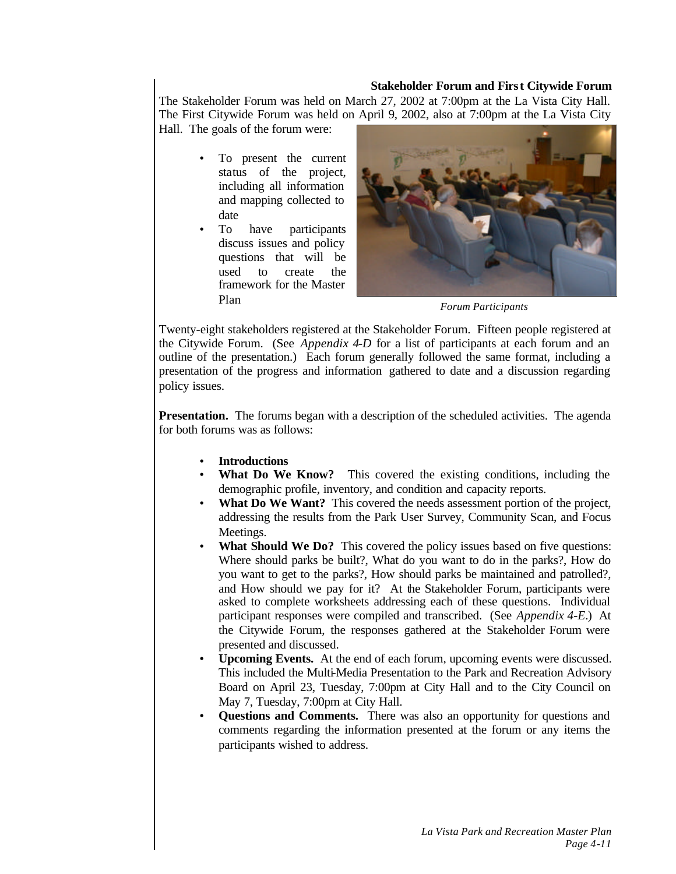### **Stakeholder Forum and First Citywide Forum**

The Stakeholder Forum was held on March 27, 2002 at 7:00pm at the La Vista City Hall. The First Citywide Forum was held on April 9, 2002, also at 7:00pm at the La Vista City

Hall. The goals of the forum were:

- To present the current status of the project, including all information and mapping collected to date
- To have participants discuss issues and policy questions that will be used to create the framework for the Master Plan



*Forum Participants*

Twenty-eight stakeholders registered at the Stakeholder Forum. Fifteen people registered at the Citywide Forum. (See *Appendix 4-D* for a list of participants at each forum and an outline of the presentation.) Each forum generally followed the same format, including a presentation of the progress and information gathered to date and a discussion regarding policy issues.

**Presentation.** The forums began with a description of the scheduled activities. The agenda for both forums was as follows:

- **Introductions**
- **What Do We Know?** This covered the existing conditions, including the demographic profile, inventory, and condition and capacity reports.
- What Do We Want? This covered the needs assessment portion of the project, addressing the results from the Park User Survey, Community Scan, and Focus Meetings.
- What Should We Do? This covered the policy issues based on five questions: Where should parks be built?, What do you want to do in the parks?, How do you want to get to the parks?, How should parks be maintained and patrolled?, and How should we pay for it? At the Stakeholder Forum, participants were asked to complete worksheets addressing each of these questions. Individual participant responses were compiled and transcribed. (See *Appendix 4-E*.) At the Citywide Forum, the responses gathered at the Stakeholder Forum were presented and discussed.
- **Upcoming Events.** At the end of each forum, upcoming events were discussed. This included the Multi-Media Presentation to the Park and Recreation Advisory Board on April 23, Tuesday, 7:00pm at City Hall and to the City Council on May 7, Tuesday, 7:00pm at City Hall.
- **Questions and Comments.** There was also an opportunity for questions and comments regarding the information presented at the forum or any items the participants wished to address.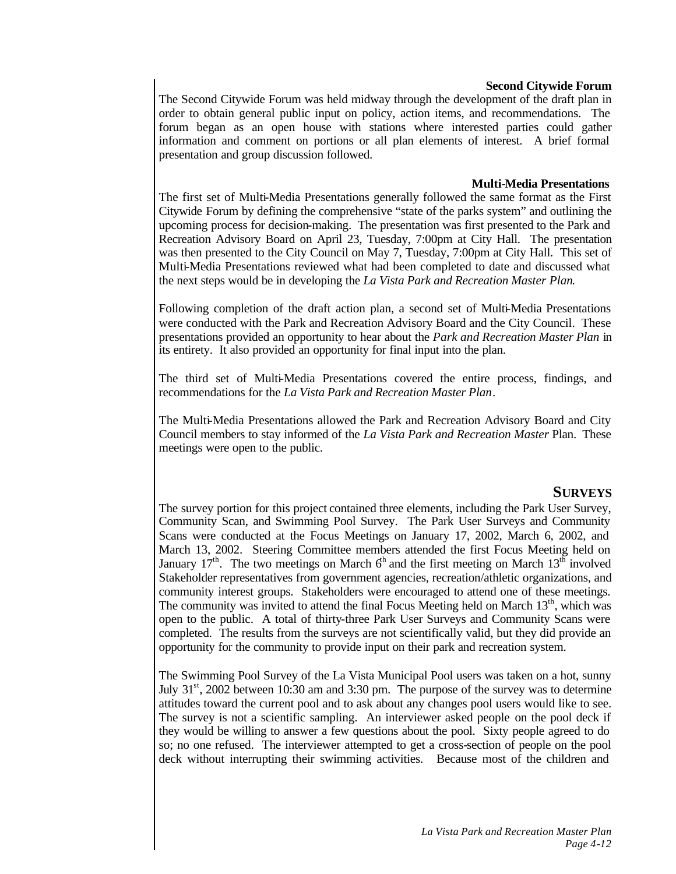#### **Second Citywide Forum**

The Second Citywide Forum was held midway through the development of the draft plan in order to obtain general public input on policy, action items, and recommendations. The forum began as an open house with stations where interested parties could gather information and comment on portions or all plan elements of interest. A brief formal presentation and group discussion followed.

#### **Multi-Media Presentations**

The first set of Multi-Media Presentations generally followed the same format as the First Citywide Forum by defining the comprehensive "state of the parks system" and outlining the upcoming process for decision-making. The presentation was first presented to the Park and Recreation Advisory Board on April 23, Tuesday, 7:00pm at City Hall. The presentation was then presented to the City Council on May 7, Tuesday, 7:00pm at City Hall. This set of Multi-Media Presentations reviewed what had been completed to date and discussed what the next steps would be in developing the *La Vista Park and Recreation Master Plan*.

Following completion of the draft action plan, a second set of Multi-Media Presentations were conducted with the Park and Recreation Advisory Board and the City Council. These presentations provided an opportunity to hear about the *Park and Recreation Master Plan* in its entirety. It also provided an opportunity for final input into the plan.

The third set of Multi-Media Presentations covered the entire process, findings, and recommendations for the *La Vista Park and Recreation Master Plan*.

The Multi-Media Presentations allowed the Park and Recreation Advisory Board and City Council members to stay informed of the *La Vista Park and Recreation Master* Plan. These meetings were open to the public.

# **SURVEYS**

The survey portion for this project contained three elements, including the Park User Survey, Community Scan, and Swimming Pool Survey. The Park User Surveys and Community Scans were conducted at the Focus Meetings on January 17, 2002, March 6, 2002, and March 13, 2002. Steering Committee members attended the first Focus Meeting held on January  $17<sup>th</sup>$ . The two meetings on March  $6<sup>th</sup>$  and the first meeting on March  $13<sup>th</sup>$  involved Stakeholder representatives from government agencies, recreation/athletic organizations, and community interest groups. Stakeholders were encouraged to attend one of these meetings. The community was invited to attend the final Focus Meeting held on March  $13<sup>th</sup>$ , which was open to the public. A total of thirty-three Park User Surveys and Community Scans were completed. The results from the surveys are not scientifically valid, but they did provide an opportunity for the community to provide input on their park and recreation system.

The Swimming Pool Survey of the La Vista Municipal Pool users was taken on a hot, sunny July  $31<sup>st</sup>$ , 2002 between 10:30 am and 3:30 pm. The purpose of the survey was to determine attitudes toward the current pool and to ask about any changes pool users would like to see. The survey is not a scientific sampling. An interviewer asked people on the pool deck if they would be willing to answer a few questions about the pool. Sixty people agreed to do so; no one refused. The interviewer attempted to get a cross-section of people on the pool deck without interrupting their swimming activities. Because most of the children and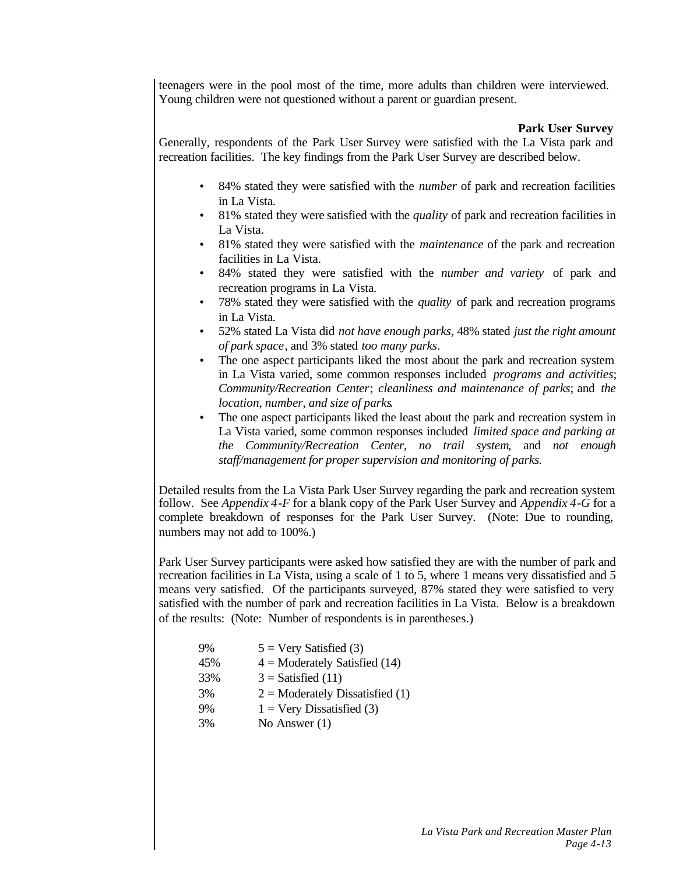teenagers were in the pool most of the time, more adults than children were interviewed. Young children were not questioned without a parent or guardian present.

### **Park User Survey**

Generally, respondents of the Park User Survey were satisfied with the La Vista park and recreation facilities. The key findings from the Park User Survey are described below.

- 84% stated they were satisfied with the *number* of park and recreation facilities in La Vista.
- 81% stated they were satisfied with the *quality* of park and recreation facilities in La Vista.
- 81% stated they were satisfied with the *maintenance* of the park and recreation facilities in La Vista.
- 84% stated they were satisfied with the *number and variety* of park and recreation programs in La Vista.
- 78% stated they were satisfied with the *quality* of park and recreation programs in La Vista.
- 52% stated La Vista did *not have enough parks*, 48% stated *just the right amount of park space*, and 3% stated *too many parks*.
- The one aspect participants liked the most about the park and recreation system in La Vista varied, some common responses included *programs and activities*; *Community/Recreation Center*; *cleanliness and maintenance of parks*; and *the location, number, and size of parks*.
- The one aspect participants liked the least about the park and recreation system in La Vista varied, some common responses included *limited space and parking at the Community/Recreation Center*, *no trail system*, and *not enough staff/management for proper supervision and monitoring of parks.*

Detailed results from the La Vista Park User Survey regarding the park and recreation system follow. See *Appendix 4-F* for a blank copy of the Park User Survey and *Appendix 4-G* for a complete breakdown of responses for the Park User Survey. (Note: Due to rounding, numbers may not add to 100%.)

Park User Survey participants were asked how satisfied they are with the number of park and recreation facilities in La Vista, using a scale of 1 to 5, where 1 means very dissatisfied and 5 means very satisfied. Of the participants surveyed, 87% stated they were satisfied to very satisfied with the number of park and recreation facilities in La Vista. Below is a breakdown of the results: (Note: Number of respondents is in parentheses.)

| $4 =$ Moderately Satisfied (14)   |
|-----------------------------------|
|                                   |
| $2 =$ Moderately Dissatisfied (1) |
|                                   |
|                                   |
|                                   |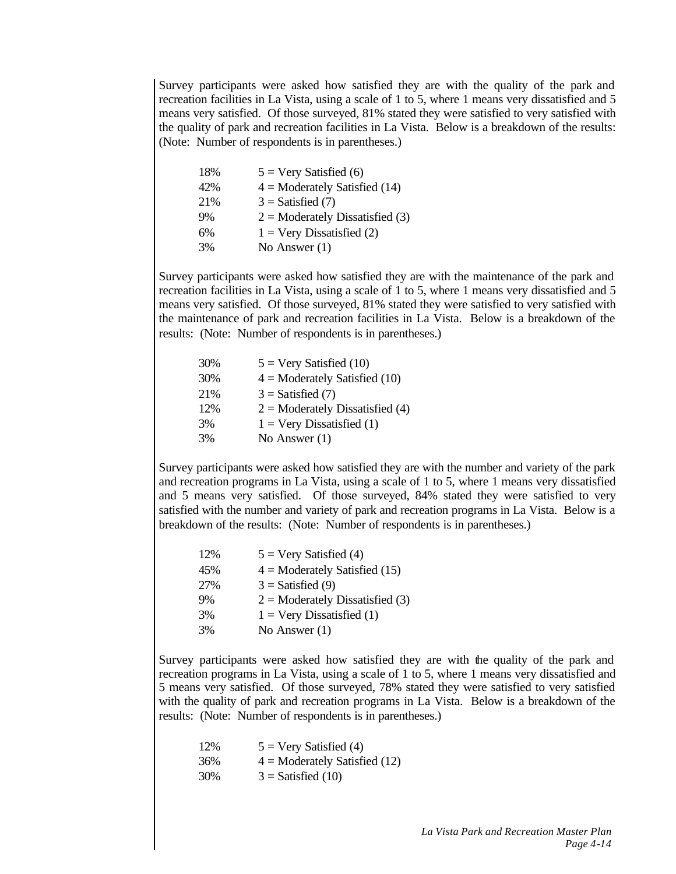Survey participants were asked how satisfied they are with the quality of the park and recreation facilities in La Vista, using a scale of 1 to 5, where 1 means very dissatisfied and 5 means very satisfied. Of those surveyed, 81% stated they were satisfied to very satisfied with the quality of park and recreation facilities in La Vista. Below is a breakdown of the results: (Note: Number of respondents is in parentheses.)

| $5 = \text{Very Satisfied (6)}$    |
|------------------------------------|
| $4 =$ Moderately Satisfied (14)    |
| $3 =$ Satisfied (7)                |
| $2 =$ Moderately Dissatisfied (3)  |
| $1 = \text{Very Dissatisfied (2)}$ |
| No Answer $(1)$                    |
|                                    |

Survey participants were asked how satisfied they are with the maintenance of the park and recreation facilities in La Vista, using a scale of 1 to 5, where 1 means very dissatisfied and 5 means very satisfied. Of those surveyed, 81% stated they were satisfied to very satisfied with the maintenance of park and recreation facilities in La Vista. Below is a breakdown of the results: (Note: Number of respondents is in parentheses.)

| 30% | $5 =$ Very Satisfied (10)          |
|-----|------------------------------------|
| 30% | $4 =$ Moderately Satisfied (10)    |
| 21% | $3 =$ Satisfied (7)                |
| 12% | $2 =$ Moderately Dissatisfied (4)  |
| 3%  | $1 = \text{Very Dissatisfied (1)}$ |
| 3%  | No Answer $(1)$                    |

Survey participants were asked how satisfied they are with the number and variety of the park and recreation programs in La Vista, using a scale of 1 to 5, where 1 means very dissatisfied and 5 means very satisfied. Of those surveyed, 84% stated they were satisfied to very satisfied with the number and variety of park and recreation programs in La Vista. Below is a breakdown of the results: (Note: Number of respondents is in parentheses.)

| 12% | $5 = \text{Very Satisfied (4)}$    |
|-----|------------------------------------|
| 45% | $4 =$ Moderately Satisfied (15)    |
| 27% | $3 =$ Satisfied (9)                |
| 9%  | $2 =$ Moderately Dissatisfied (3)  |
| 3%  | $1 = \text{Very Dissatisfied (1)}$ |
| 3%  | No Answer $(1)$                    |

Survey participants were asked how satisfied they are with the quality of the park and recreation programs in La Vista, using a scale of 1 to 5, where 1 means very dissatisfied and 5 means very satisfied. Of those surveyed, 78% stated they were satisfied to very satisfied with the quality of park and recreation programs in La Vista. Below is a breakdown of the results: (Note: Number of respondents is in parentheses.)

| 12% | $5 = \text{Very Satisfied (4)}$ |
|-----|---------------------------------|
| 36% | $4 =$ Moderately Satisfied (12) |
| 30% | $3 =$ Satisfied (10)            |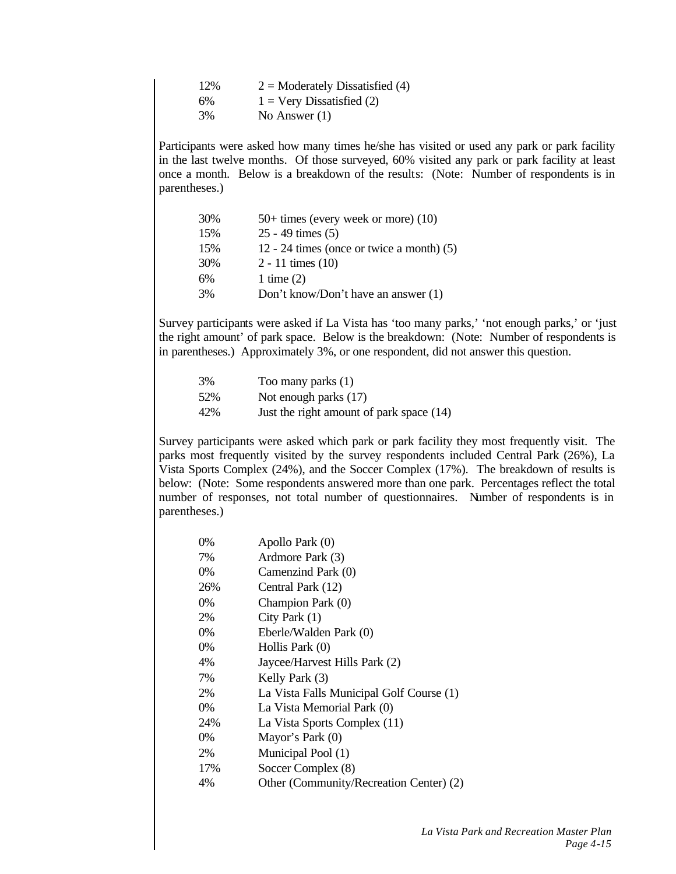| 12% | $2 =$ Moderately Dissatisfied (4)  |
|-----|------------------------------------|
| 6%  | $1 = \text{Very Dissatisfied (2)}$ |
| 3%  | No Answer $(1)$                    |

Participants were asked how many times he/she has visited or used any park or park facility in the last twelve months. Of those surveyed, 60% visited any park or park facility at least once a month. Below is a breakdown of the results: (Note: Number of respondents is in parentheses.)

| 30% | $50+$ times (every week or more) (10)       |
|-----|---------------------------------------------|
| 15% | $25 - 49$ times $(5)$                       |
| 15% | 12 - 24 times (once or twice a month) $(5)$ |
| 30% | $2 - 11$ times $(10)$                       |
| 6%  | 1 time $(2)$                                |
| 3%  | Don't know/Don't have an answer (1)         |

Survey participants were asked if La Vista has 'too many parks,' 'not enough parks,' or 'just the right amount' of park space. Below is the breakdown: (Note: Number of respondents is in parentheses.) Approximately 3%, or one respondent, did not answer this question.

| 3%  | Too many parks (1)                       |
|-----|------------------------------------------|
| 52% | Not enough parks (17)                    |
| 42% | Just the right amount of park space (14) |

Survey participants were asked which park or park facility they most frequently visit. The parks most frequently visited by the survey respondents included Central Park (26%), La Vista Sports Complex (24%), and the Soccer Complex (17%). The breakdown of results is below: (Note: Some respondents answered more than one park. Percentages reflect the total number of responses, not total number of questionnaires. Number of respondents is in parentheses.)

| $0\%$ | Apollo Park (0)                          |
|-------|------------------------------------------|
| 7%    | Ardmore Park (3)                         |
| 0%    | Camenzind Park (0)                       |
| 26%   | Central Park (12)                        |
| 0%    | Champion Park (0)                        |
| 2%    | City Park $(1)$                          |
| $0\%$ | Eberle/Walden Park (0)                   |
| $0\%$ | Hollis Park (0)                          |
| 4%    | Jaycee/Harvest Hills Park (2)            |
| 7%    | Kelly Park (3)                           |
| 2%    | La Vista Falls Municipal Golf Course (1) |
| 0%    | La Vista Memorial Park (0)               |
| 24%   | La Vista Sports Complex (11)             |
| 0%    | Mayor's Park (0)                         |
| 2%    | Municipal Pool (1)                       |
| 17%   | Soccer Complex (8)                       |
| 4%    | Other (Community/Recreation Center) (2)  |
|       |                                          |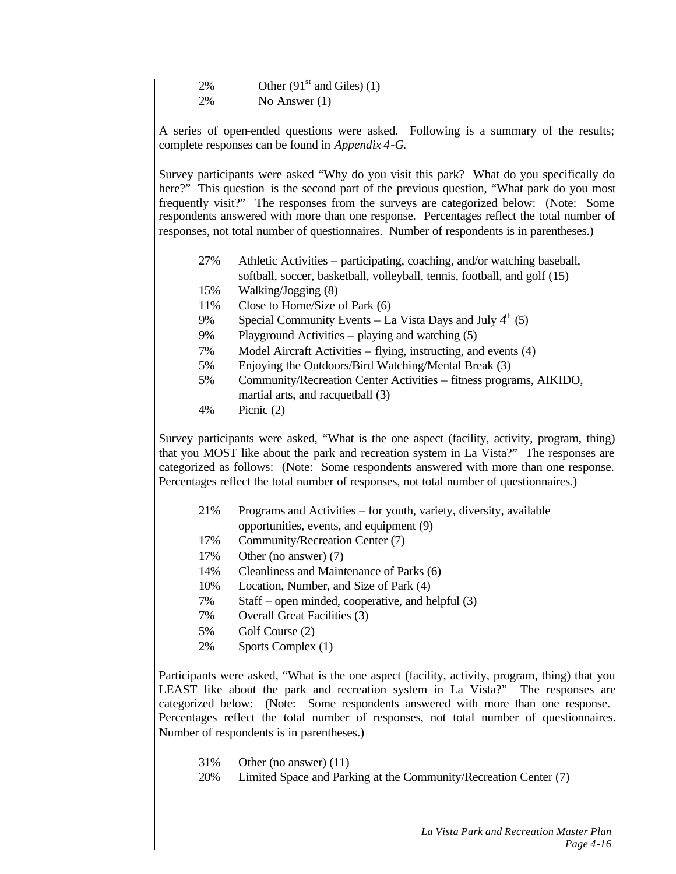| 2%        | Other $(91st$ and Giles) (1) |
|-----------|------------------------------|
| <b>2%</b> | No Answer $(1)$              |

A series of open-ended questions were asked. Following is a summary of the results; complete responses can be found in *Appendix 4-G*.

Survey participants were asked "Why do you visit this park? What do you specifically do here?" This question is the second part of the previous question, "What park do you most frequently visit?" The responses from the surveys are categorized below: (Note: Some respondents answered with more than one response. Percentages reflect the total number of responses, not total number of questionnaires. Number of respondents is in parentheses.)

- 27% Athletic Activities participating, coaching, and/or watching baseball, softball, soccer, basketball, volleyball, tennis, football, and golf (15)
- 15% Walking/Jogging (8)
- 11% Close to Home/Size of Park (6)
- 9% Special Community Events La Vista Days and July  $4<sup>th</sup>$  (5)
- 9% Playground Activities playing and watching (5)
- 7% Model Aircraft Activities flying, instructing, and events (4)
- 5% Enjoying the Outdoors/Bird Watching/Mental Break (3)
- 5% Community/Recreation Center Activities fitness programs, AIKIDO, martial arts, and racquetball (3)
- 4% Picnic (2)

Survey participants were asked, "What is the one aspect (facility, activity, program, thing) that you MOST like about the park and recreation system in La Vista?" The responses are categorized as follows: (Note: Some respondents answered with more than one response. Percentages reflect the total number of responses, not total number of questionnaires.)

- 21% Programs and Activities for youth, variety, diversity, available
- opportunities, events, and equipment (9)
- 17% Community/Recreation Center (7)
- 17% Other (no answer) (7)
- 14% Cleanliness and Maintenance of Parks (6)
- 10% Location, Number, and Size of Park (4)
- 7% Staff open minded, cooperative, and helpful (3)
- 7% Overall Great Facilities (3)
- 5% Golf Course (2)
- 2% Sports Complex (1)

Participants were asked, "What is the one aspect (facility, activity, program, thing) that you LEAST like about the park and recreation system in La Vista?" The responses are categorized below: (Note: Some respondents answered with more than one response. Percentages reflect the total number of responses, not total number of questionnaires. Number of respondents is in parentheses.)

- 31% Other (no answer) (11)
- 20% Limited Space and Parking at the Community/Recreation Center (7)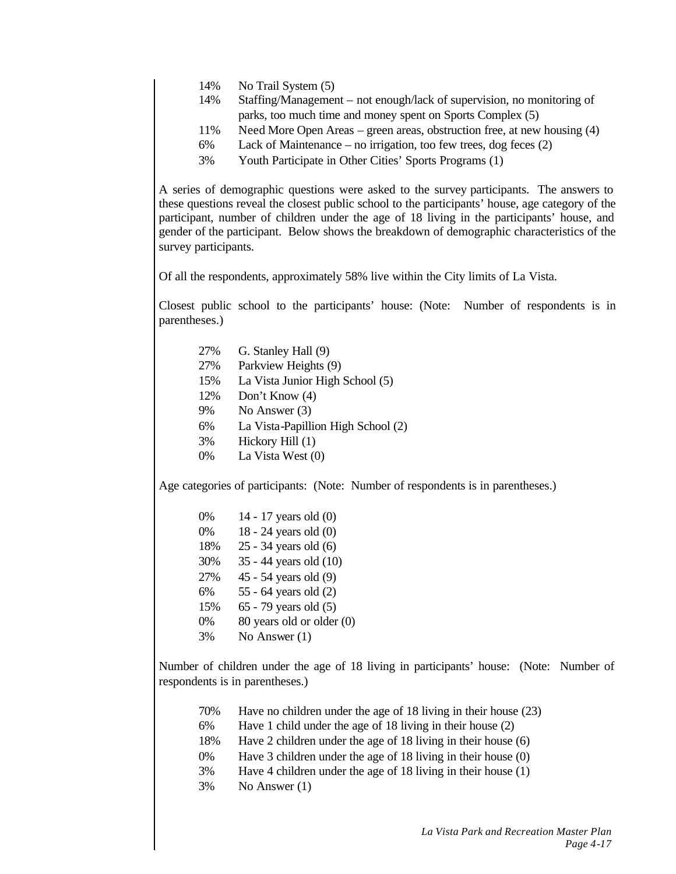- 14% No Trail System (5)
- 14% Staffing/Management not enough/lack of supervision, no monitoring of parks, too much time and money spent on Sports Complex (5)
- 11% Need More Open Areas green areas, obstruction free, at new housing (4)
- 6% Lack of Maintenance no irrigation, too few trees, dog feces (2)
- 3% Youth Participate in Other Cities' Sports Programs (1)

A series of demographic questions were asked to the survey participants. The answers to these questions reveal the closest public school to the participants' house, age category of the participant, number of children under the age of 18 living in the participants' house, and gender of the participant. Below shows the breakdown of demographic characteristics of the survey participants.

Of all the respondents, approximately 58% live within the City limits of La Vista.

Closest public school to the participants' house: (Note: Number of respondents is in parentheses.)

- 27% G. Stanley Hall (9)
- 27% Parkview Heights (9)
- 15% La Vista Junior High School (5)
- 12% Don't Know (4)
- 9% No Answer (3)
- 6% La Vista-Papillion High School (2)
- 3% Hickory Hill (1)
- 0% La Vista West (0)

Age categories of participants: (Note: Number of respondents is in parentheses.)

| $0\%$ | 14 - 17 years old (0)     |
|-------|---------------------------|
| 0%    | 18 - 24 years old (0)     |
| 18%   | 25 - 34 years old (6)     |
| 30%   | 35 - 44 years old (10)    |
| 27%   | 45 - 54 years old (9)     |
| 6%    | 55 - 64 years old (2)     |
| 15%   | 65 - 79 years old (5)     |
| 0%    | 80 years old or older (0) |
| 3%    | No Answer $(1)$           |

Number of children under the age of 18 living in participants' house: (Note: Number of respondents is in parentheses.)

- 70% Have no children under the age of 18 living in their house (23)
- 6% Have 1 child under the age of 18 living in their house (2)
- 18% Have 2 children under the age of 18 living in their house (6)
- 0% Have 3 children under the age of 18 living in their house (0)
- 3% Have 4 children under the age of 18 living in their house (1)
- 3% No Answer (1)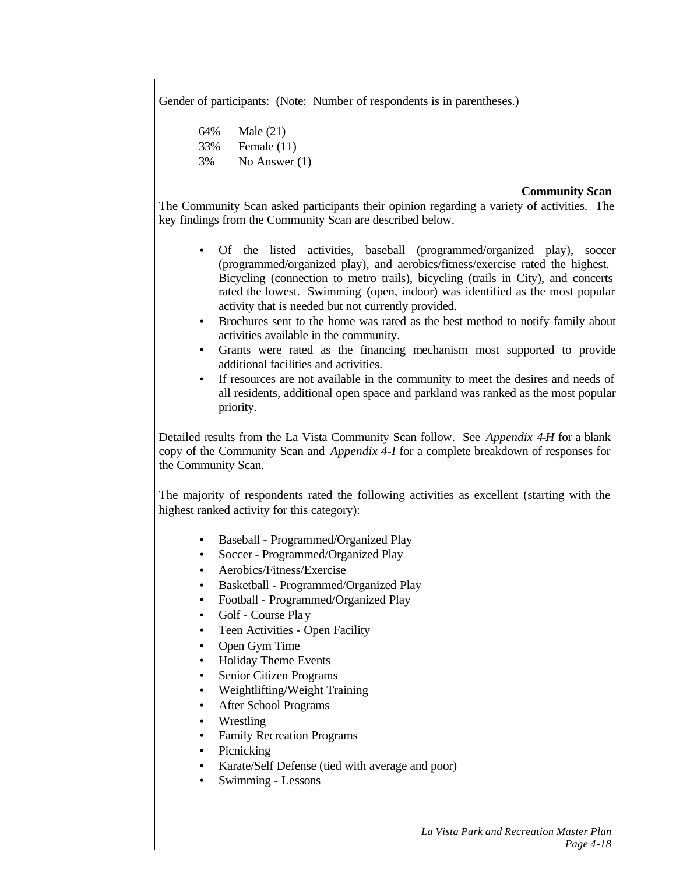Gender of participants: (Note: Number of respondents is in parentheses.)

64% Male (21) 33% Female (11) 3% No Answer (1)

# **Community Scan**

The Community Scan asked participants their opinion regarding a variety of activities. The key findings from the Community Scan are described below.

- Of the listed activities, baseball (programmed/organized play), soccer (programmed/organized play), and aerobics/fitness/exercise rated the highest. Bicycling (connection to metro trails), bicycling (trails in City), and concerts rated the lowest. Swimming (open, indoor) was identified as the most popular activity that is needed but not currently provided.
- Brochures sent to the home was rated as the best method to notify family about activities available in the community.
- Grants were rated as the financing mechanism most supported to provide additional facilities and activities.
- If resources are not available in the community to meet the desires and needs of all residents, additional open space and parkland was ranked as the most popular priority.

Detailed results from the La Vista Community Scan follow. See *Appendix 4-H* for a blank copy of the Community Scan and *Appendix 4-I* for a complete breakdown of responses for the Community Scan.

The majority of respondents rated the following activities as excellent (starting with the highest ranked activity for this category):

- Baseball Programmed/Organized Play
- Soccer Programmed/Organized Play
- Aerobics/Fitness/Exercise
- Basketball Programmed/Organized Play
- Football Programmed/Organized Play
- Golf Course Play
- Teen Activities Open Facility
- Open Gym Time
- Holiday Theme Events
- Senior Citizen Programs
- Weightlifting/Weight Training
- After School Programs
- **Wrestling**
- Family Recreation Programs
- **Picnicking**
- Karate/Self Defense (tied with average and poor)
- Swimming Lessons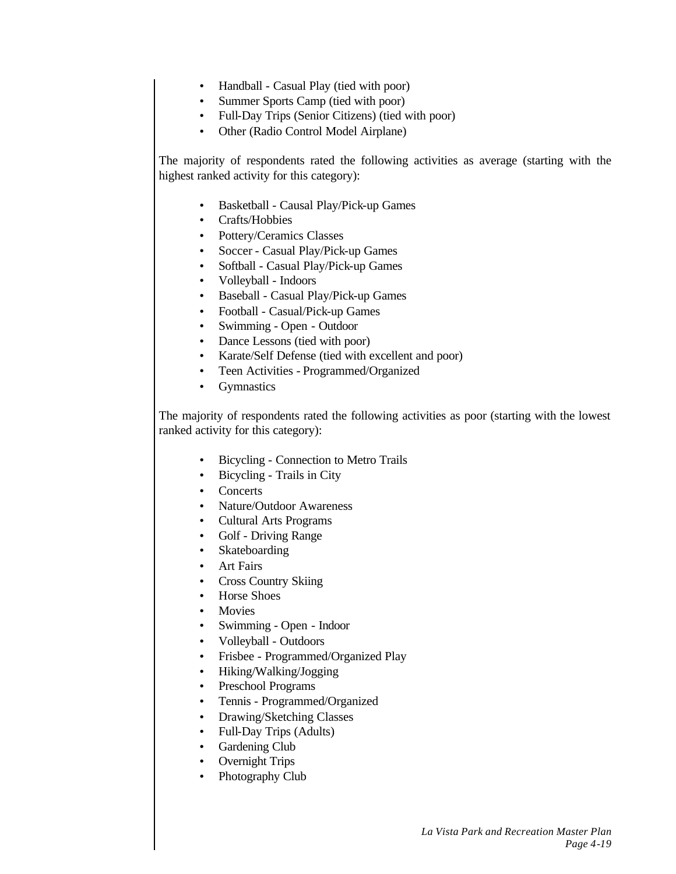- Handball Casual Play (tied with poor)
- Summer Sports Camp (tied with poor)
- Full-Day Trips (Senior Citizens) (tied with poor)
- Other (Radio Control Model Airplane)

The majority of respondents rated the following activities as average (starting with the highest ranked activity for this category):

- Basketball Causal Play/Pick-up Games
- Crafts/Hobbies
- Pottery/Ceramics Classes
- Soccer Casual Play/Pick-up Games
- Softball Casual Play/Pick-up Games
- Volleyball Indoors
- Baseball Casual Play/Pick-up Games
- Football Casual/Pick-up Games
- Swimming Open Outdoor
- Dance Lessons (tied with poor)
- Karate/Self Defense (tied with excellent and poor)
- Teen Activities Programmed/Organized
- **Gymnastics**

The majority of respondents rated the following activities as poor (starting with the lowest ranked activity for this category):

- Bicycling Connection to Metro Trails
- Bicycling Trails in City
- Concerts
- Nature/Outdoor Awareness
- Cultural Arts Programs
- Golf Driving Range
- Skateboarding
- Art Fairs
- Cross Country Skiing
- Horse Shoes
- **Movies**
- Swimming Open Indoor
- Volleyball Outdoors
- Frisbee Programmed/Organized Play
- Hiking/Walking/Jogging
- Preschool Programs
- Tennis Programmed/Organized
- Drawing/Sketching Classes
- Full-Day Trips (Adults)
- Gardening Club
- Overnight Trips
- Photography Club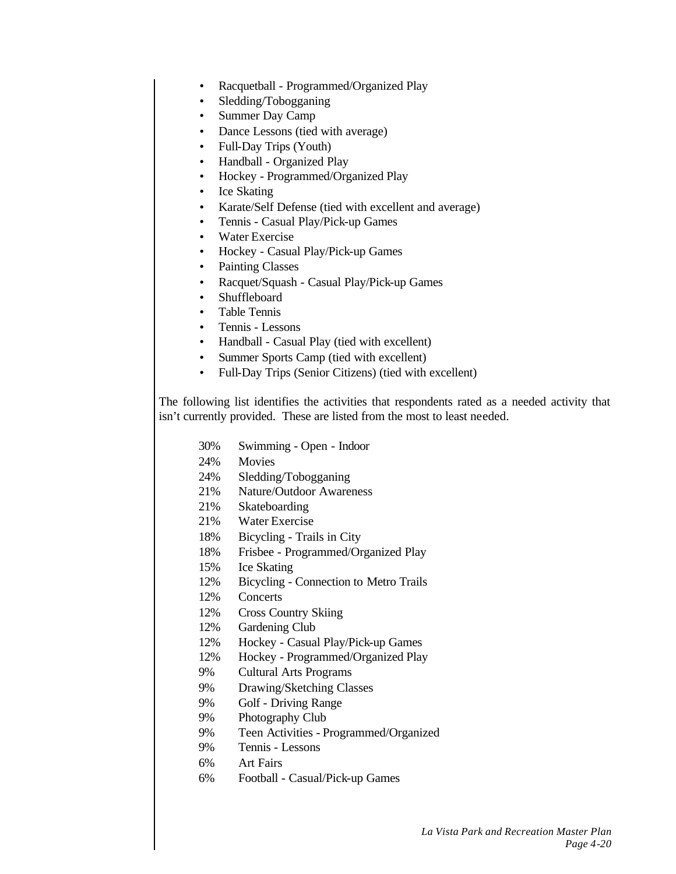- Racquetball Programmed/Organized Play
- Sledding/Tobogganing
- Summer Day Camp
- Dance Lessons (tied with average)
- Full-Day Trips (Youth)
- Handball Organized Play
- Hockey Programmed/Organized Play
- Ice Skating
- Karate/Self Defense (tied with excellent and average)
- Tennis Casual Play/Pick-up Games
- Water Exercise
- Hockey Casual Play/Pick-up Games
- Painting Classes
- Racquet/Squash Casual Play/Pick-up Games
- Shuffleboard
- Table Tennis
- Tennis Lessons
- Handball Casual Play (tied with excellent)
- Summer Sports Camp (tied with excellent)
- Full-Day Trips (Senior Citizens) (tied with excellent)

The following list identifies the activities that respondents rated as a needed activity that isn't currently provided. These are listed from the most to least needed.

- 30% Swimming Open Indoor
- 24% Movies
- 24% Sledding/Tobogganing
- 21% Nature/Outdoor Awareness
- 21% Skateboarding
- 21% Water Exercise
- 18% Bicycling Trails in City
- 18% Frisbee Programmed/Organized Play
- 15% Ice Skating
- 12% Bicycling Connection to Metro Trails
- 12% Concerts
- 12% Cross Country Skiing
- 12% Gardening Club
- 12% Hockey Casual Play/Pick-up Games
- 12% Hockey Programmed/Organized Play
- 9% Cultural Arts Programs
- 9% Drawing/Sketching Classes
- 9% Golf Driving Range
- 9% Photography Club
- 9% Teen Activities Programmed/Organized
- 9% Tennis Lessons
- 6% Art Fairs
- 6% Football Casual/Pick-up Games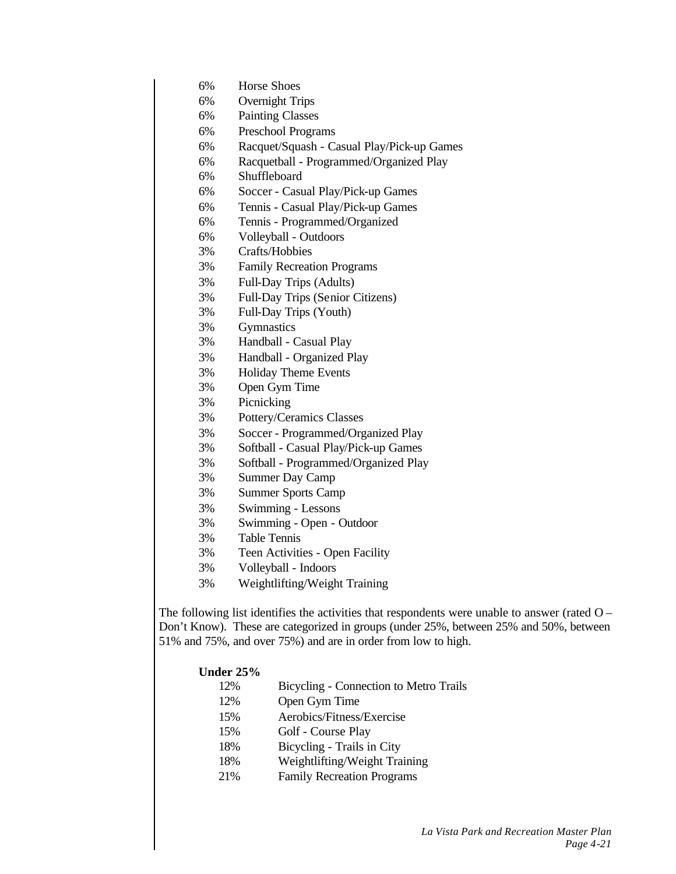- 6% Horse Shoes
- 6% Overnight Trips
- 6% Painting Classes
- 6% Preschool Programs
- 6% Racquet/Squash Casual Play/Pick-up Games
- 6% Racquetball Programmed/Organized Play
- 6% Shuffleboard
- 6% Soccer Casual Play/Pick-up Games
- 6% Tennis Casual Play/Pick-up Games
- 6% Tennis Programmed/Organized
- 6% Volleyball Outdoors
- 3% Crafts/Hobbies
- 3% Family Recreation Programs
- 3% Full-Day Trips (Adults)
- 3% Full-Day Trips (Senior Citizens)
- 3% Full-Day Trips (Youth)
- 3% Gymnastics
- 3% Handball Casual Play
- 3% Handball Organized Play
- 3% Holiday Theme Events
- 3% Open Gym Time
- 3% Picnicking
- 3% Pottery/Ceramics Classes
- 3% Soccer Programmed/Organized Play
- 3% Softball Casual Play/Pick-up Games
- 3% Softball Programmed/Organized Play
- 3% Summer Day Camp
- 3% Summer Sports Camp
- 3% Swimming Lessons
- 3% Swimming Open Outdoor
- 3% Table Tennis
- 3% Teen Activities Open Facility
- 3% Volleyball Indoors
- 3% Weightlifting/Weight Training

The following list identifies the activities that respondents were unable to answer (rated  $O -$ Don't Know). These are categorized in groups (under 25%, between 25% and 50%, between 51% and 75%, and over 75%) and are in order from low to high.

### **Under 25%**

- 12% Bicycling Connection to Metro Trails
- 12% Open Gym Time
- 15% Aerobics/Fitness/Exercise
- 15% Golf Course Play
- 18% Bicycling Trails in City
- 18% Weightlifting/Weight Training
- 21% Family Recreation Programs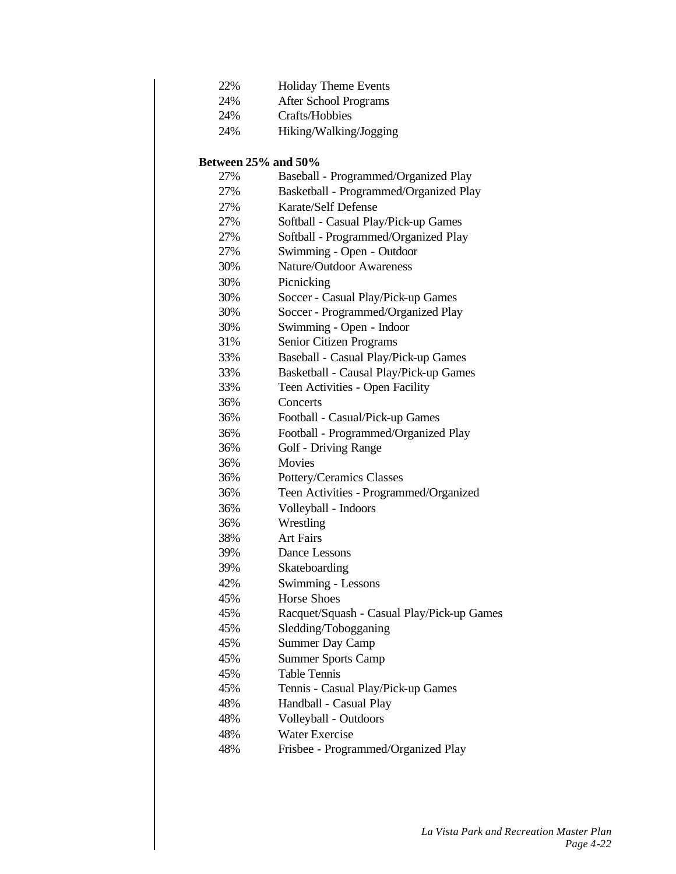| 22% | <b>Holiday Theme Events</b> |
|-----|-----------------------------|
|-----|-----------------------------|

- 24% After School Programs
	- 24% Crafts/Hobbies
	- 24% Hiking/Walking/Jogging

# **Between 25% and 50%**

| 27% | Baseball - Programmed/Organized Play       |
|-----|--------------------------------------------|
| 27% | Basketball - Programmed/Organized Play     |
| 27% | Karate/Self Defense                        |
| 27% | Softball - Casual Play/Pick-up Games       |
| 27% | Softball - Programmed/Organized Play       |
| 27% | Swimming - Open - Outdoor                  |
| 30% | <b>Nature/Outdoor Awareness</b>            |
| 30% | Picnicking                                 |
| 30% | Soccer - Casual Play/Pick-up Games         |
| 30% | Soccer - Programmed/Organized Play         |
| 30% | Swimming - Open - Indoor                   |
| 31% | Senior Citizen Programs                    |
| 33% | Baseball - Casual Play/Pick-up Games       |
| 33% | Basketball - Causal Play/Pick-up Games     |
| 33% | Teen Activities - Open Facility            |
| 36% | Concerts                                   |
| 36% | Football - Casual/Pick-up Games            |
| 36% | Football - Programmed/Organized Play       |
| 36% | <b>Golf - Driving Range</b>                |
| 36% | <b>Movies</b>                              |
| 36% | Pottery/Ceramics Classes                   |
| 36% | Teen Activities - Programmed/Organized     |
| 36% | Volleyball - Indoors                       |
| 36% | Wrestling                                  |
| 38% | <b>Art Fairs</b>                           |
| 39% | Dance Lessons                              |
| 39% | Skateboarding                              |
| 42% | Swimming - Lessons                         |
| 45% | <b>Horse Shoes</b>                         |
| 45% | Racquet/Squash - Casual Play/Pick-up Games |
| 45% | Sledding/Tobogganing                       |
| 45% | <b>Summer Day Camp</b>                     |
| 45% | <b>Summer Sports Camp</b>                  |
| 45% | <b>Table Tennis</b>                        |
| 45% | Tennis - Casual Play/Pick-up Games         |
| 48% | Handball - Casual Play                     |
| 48% | Volleyball - Outdoors                      |
| 48% | <b>Water Exercise</b>                      |
| 48% | Frisbee - Programmed/Organized Play        |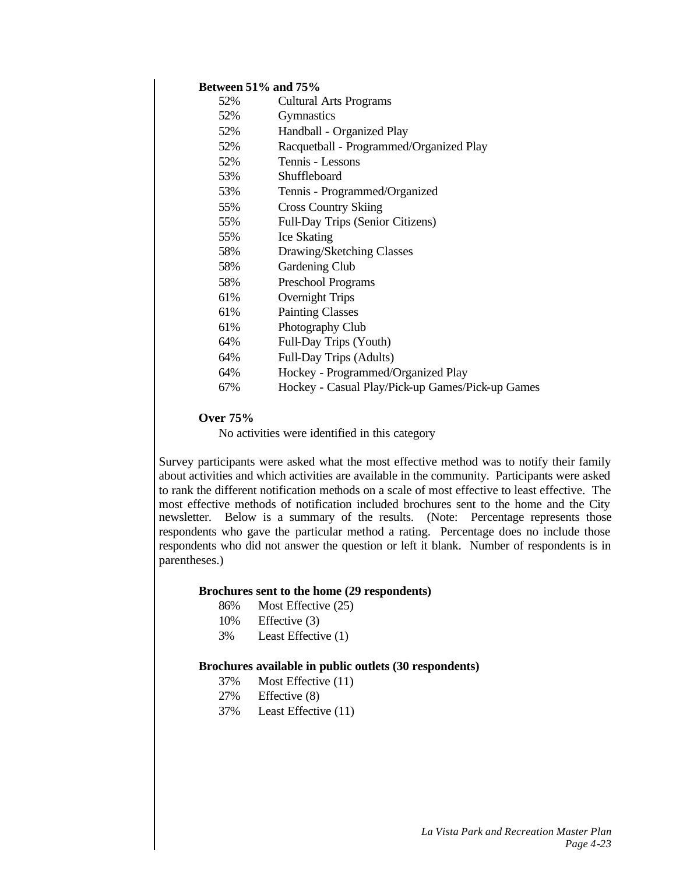# **Between 51% and 75%**

| 52% | <b>Cultural Arts Programs</b>                    |
|-----|--------------------------------------------------|
| 52% | <b>Gymnastics</b>                                |
| 52% | Handball - Organized Play                        |
| 52% | Racquetball - Programmed/Organized Play          |
| 52% | Tennis - Lessons                                 |
| 53% | Shuffleboard                                     |
| 53% | Tennis - Programmed/Organized                    |
| 55% | <b>Cross Country Skiing</b>                      |
| 55% | Full-Day Trips (Senior Citizens)                 |
| 55% | Ice Skating                                      |
| 58% | Drawing/Sketching Classes                        |
| 58% | Gardening Club                                   |
| 58% | Preschool Programs                               |
| 61% | Overnight Trips                                  |
| 61% | <b>Painting Classes</b>                          |
| 61% | <b>Photography Club</b>                          |
| 64% | Full-Day Trips (Youth)                           |
| 64% | Full-Day Trips (Adults)                          |
| 64% | Hockey - Programmed/Organized Play               |
| 67% | Hockey - Casual Play/Pick-up Games/Pick-up Games |

### **Over 75%**

No activities were identified in this category

Survey participants were asked what the most effective method was to notify their family about activities and which activities are available in the community. Participants were asked to rank the different notification methods on a scale of most effective to least effective. The most effective methods of notification included brochures sent to the home and the City newsletter. Below is a summary of the results. (Note: Percentage represents those respondents who gave the particular method a rating. Percentage does no include those respondents who did not answer the question or left it blank. Number of respondents is in parentheses.)

#### **Brochures sent to the home (29 respondents)**

- 86% Most Effective (25)
- 10% Effective (3)
- 3% Least Effective (1)

### **Brochures available in public outlets (30 respondents)**

- 37% Most Effective (11)
- 27% Effective (8)
- 37% Least Effective (11)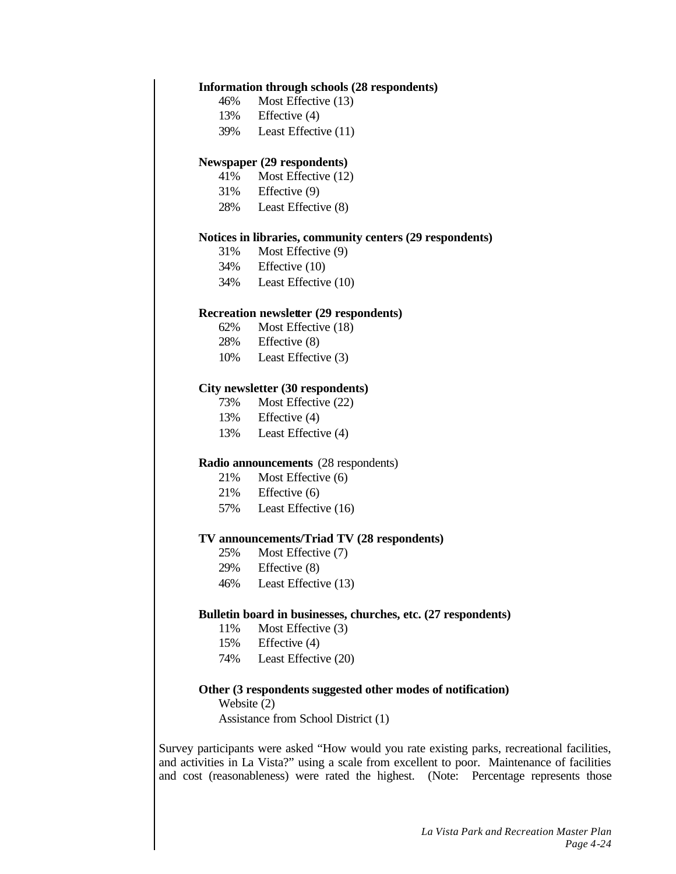#### **Information through schools (28 respondents)**

- 46% Most Effective (13)
- 13% Effective (4)
- 39% Least Effective (11)

#### **Newspaper (29 respondents)**

- 41% Most Effective (12)
- 31% Effective (9)
- 28% Least Effective (8)

### **Notices in libraries, community centers (29 respondents)**

- 31% Most Effective (9)
- 34% Effective (10)
- 34% Least Effective (10)

#### **Recreation newsletter (29 respondents)**

- 62% Most Effective (18)
- 28% Effective (8)
- 10% Least Effective (3)

# **City newsletter (30 respondents)**

- 73% Most Effective (22)
- 13% Effective (4)
- 13% Least Effective (4)

#### **Radio announcements** (28 respondents)

- 21% Most Effective (6)
- 21% Effective (6)
- 57% Least Effective (16)

#### **TV announcements/Triad TV (28 respondents)**

- 25% Most Effective (7)
- 29% Effective (8)
- 46% Least Effective (13)

#### **Bulletin board in businesses, churches, etc. (27 respondents)**

- 11% Most Effective (3)
- 15% Effective (4)
- 74% Least Effective (20)

#### **Other (3 respondents suggested other modes of notification)**

Website (2)

Assistance from School District (1)

Survey participants were asked "How would you rate existing parks, recreational facilities, and activities in La Vista?" using a scale from excellent to poor. Maintenance of facilities and cost (reasonableness) were rated the highest. (Note: Percentage represents those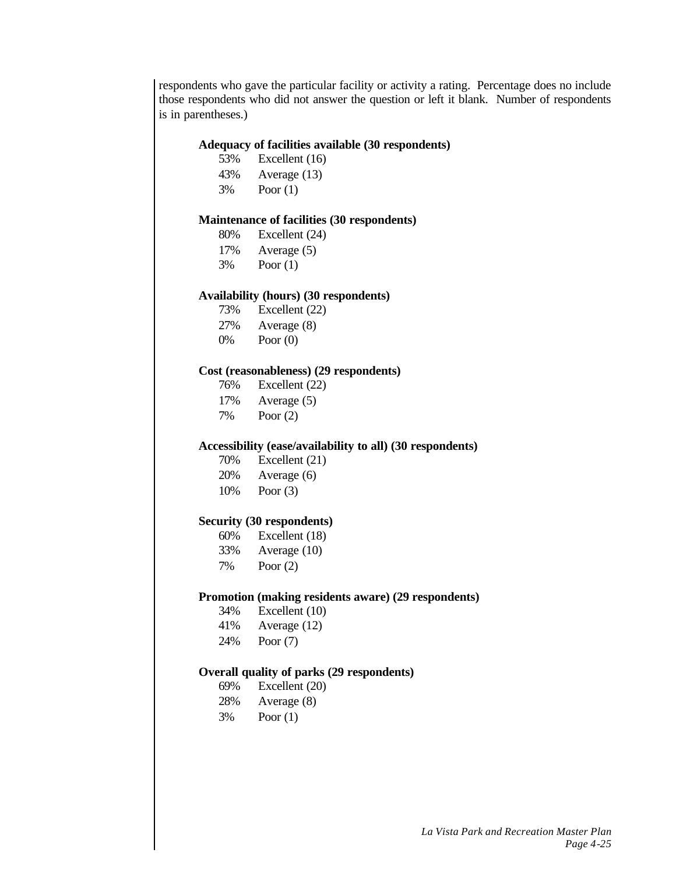respondents who gave the particular facility or activity a rating. Percentage does no include those respondents who did not answer the question or left it blank. Number of respondents is in parentheses.)

# **Adequacy of facilities available (30 respondents)**

- 53% Excellent (16)
- 43% Average (13)
- 3% Poor (1)

# **Maintenance of facilities (30 respondents)**

- 80% Excellent (24)
- 17% Average (5)
- 3% Poor (1)

### **Availability (hours) (30 respondents)**

- 73% Excellent (22)
- 27% Average (8)
- 0% Poor (0)

### **Cost (reasonableness) (29 respondents)**

- 76% Excellent (22)
- 17% Average (5)
- 7% Poor (2)

#### **Accessibility (ease/availability to all) (30 respondents)**

- 70% Excellent (21) 20% Average (6)
- 10% Poor (3)

#### **Security (30 respondents)**

| 60% | Excellent (18) |
|-----|----------------|
| 33% | Average $(10)$ |
| 7%  | Poor $(2)$     |

#### **Promotion (making residents aware) (29 respondents)**

- 34% Excellent (10)
- 41% Average (12)
- 24% Poor (7)

### **Overall quality of parks (29 respondents)**

- 69% Excellent (20)
- 28% Average (8)
- 3% Poor (1)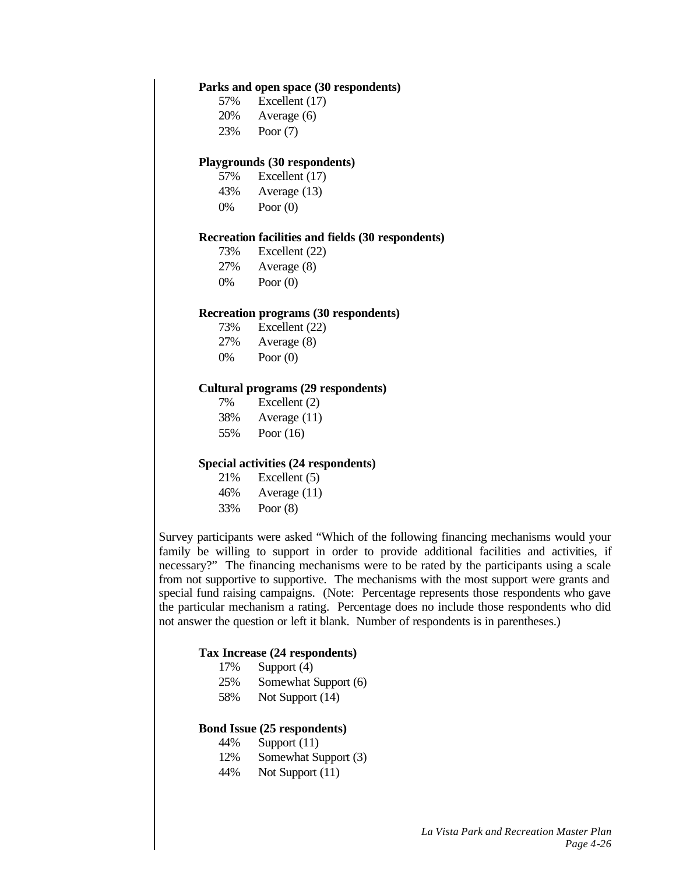#### **Parks and open space (30 respondents)**

- 57% Excellent (17)
- 20% Average (6)
- 23% Poor (7)

#### **Playgrounds (30 respondents)**

- 57% Excellent (17)
- 43% Average (13)
- 0% Poor (0)

#### **Recreation facilities and fields (30 respondents)**

- 73% Excellent (22)
- 27% Average (8)
- 0% Poor (0)

#### **Recreation programs (30 respondents)**

- 73% Excellent (22)
- 27% Average (8)
- 0% Poor (0)

# **Cultural programs (29 respondents)**

- 7% Excellent (2)
- 38% Average (11)
- 55% Poor (16)

### **Special activities (24 respondents)**

- 21% Excellent (5) 46% Average (11)
- 
- 33% Poor (8)

Survey participants were asked "Which of the following financing mechanisms would your family be willing to support in order to provide additional facilities and activities, if necessary?" The financing mechanisms were to be rated by the participants using a scale from not supportive to supportive. The mechanisms with the most support were grants and special fund raising campaigns. (Note: Percentage represents those respondents who gave the particular mechanism a rating. Percentage does no include those respondents who did not answer the question or left it blank. Number of respondents is in parentheses.)

#### **Tax Increase (24 respondents)**

- 17% Support (4)
- 25% Somewhat Support (6)
- 58% Not Support (14)

#### **Bond Issue (25 respondents)**

- 44% Support (11)
- 12% Somewhat Support (3)
- 44% Not Support (11)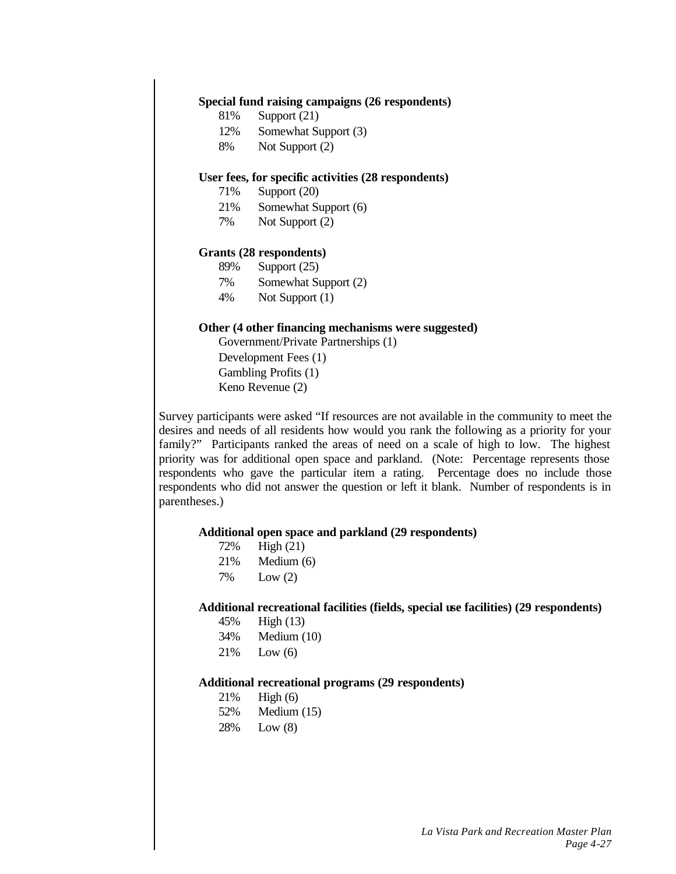### **Special fund raising campaigns (26 respondents)**

- 81% Support (21)
- 12% Somewhat Support (3)
- 8% Not Support (2)

### **User fees, for specific activities (28 respondents)**

- 71% Support (20)
- 21% Somewhat Support (6)
- 7% Not Support (2)

#### **Grants (28 respondents)**

- 89% Support (25)
- 7% Somewhat Support (2)
- 4% Not Support (1)

### **Other (4 other financing mechanisms were suggested)**

Government/Private Partnerships (1) Development Fees (1) Gambling Profits (1) Keno Revenue (2)

Survey participants were asked "If resources are not available in the community to meet the desires and needs of all residents how would you rank the following as a priority for your family?" Participants ranked the areas of need on a scale of high to low. The highest priority was for additional open space and parkland. (Note: Percentage represents those respondents who gave the particular item a rating. Percentage does no include those respondents who did not answer the question or left it blank. Number of respondents is in parentheses.)

#### **Additional open space and parkland (29 respondents)**

| 72%  | High $(21)$ |
|------|-------------|
| 21%  | Medium (6)  |
| $-1$ |             |

7% Low (2)

# **Additional recreational facilities (fields, special use facilities) (29 respondents)**

- 45% High (13)
- 34% Medium (10)
- 21% Low (6)

### **Additional recreational programs (29 respondents)**

21% High (6) 52% Medium (15) 28% Low (8)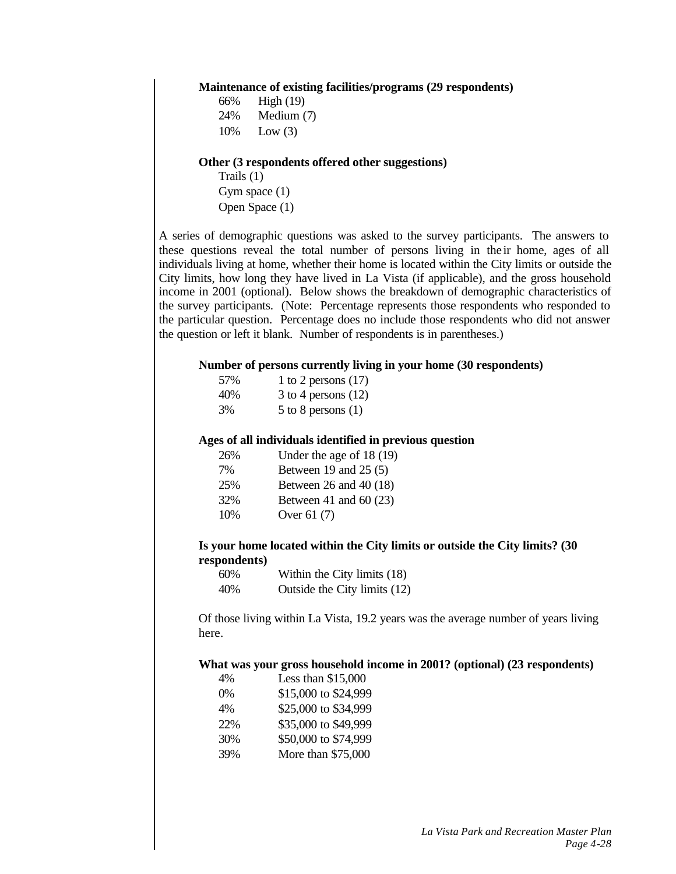#### **Maintenance of existing facilities/programs (29 respondents)**

| 66% | High $(19)$ |
|-----|-------------|
| 24% | Medium (7)  |
| 10% | Low $(3)$   |

#### **Other (3 respondents offered other suggestions)**

Trails (1) Gym space (1) Open Space (1)

A series of demographic questions was asked to the survey participants. The answers to these questions reveal the total number of persons living in the ir home, ages of all individuals living at home, whether their home is located within the City limits or outside the City limits, how long they have lived in La Vista (if applicable), and the gross household income in 2001 (optional). Below shows the breakdown of demographic characteristics of the survey participants. (Note: Percentage represents those respondents who responded to the particular question. Percentage does no include those respondents who did not answer the question or left it blank. Number of respondents is in parentheses.)

### **Number of persons currently living in your home (30 respondents)**

| 57% | 1 to 2 persons $(17)$  |
|-----|------------------------|
| 40% | 3 to 4 persons $(12)$  |
| 3%  | $5$ to 8 persons $(1)$ |

### **Ages of all individuals identified in previous question**

| 26% | Under the age of 18 (19)  |
|-----|---------------------------|
| 7%  | Between 19 and $25(5)$    |
| 25% | Between $26$ and $40(18)$ |
| 32% | Between 41 and 60 $(23)$  |
| 10% | Over 61 (7)               |
|     |                           |

# **Is your home located within the City limits or outside the City limits? (30 respondents)**

| 60% | Within the City limits (18)  |
|-----|------------------------------|
| 40% | Outside the City limits (12) |

Of those living within La Vista, 19.2 years was the average number of years living here.

#### **What was your gross household income in 2001? (optional) (23 respondents)**

| 4%    | Less than \$15,000   |
|-------|----------------------|
| $0\%$ | \$15,000 to \$24,999 |
| 4%    | \$25,000 to \$34,999 |
| 22%   | \$35,000 to \$49,999 |
| 30%   | \$50,000 to \$74,999 |
| 39%   | More than \$75,000   |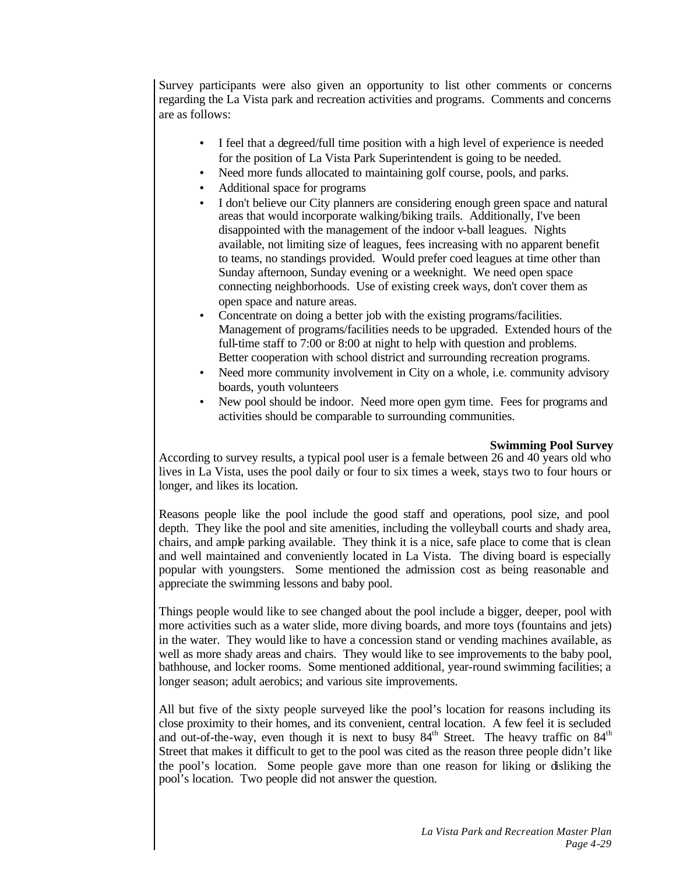Survey participants were also given an opportunity to list other comments or concerns regarding the La Vista park and recreation activities and programs. Comments and concerns are as follows:

- I feel that a degreed/full time position with a high level of experience is needed for the position of La Vista Park Superintendent is going to be needed.
- Need more funds allocated to maintaining golf course, pools, and parks.
- Additional space for programs
- I don't believe our City planners are considering enough green space and natural areas that would incorporate walking/biking trails. Additionally, I've been disappointed with the management of the indoor v-ball leagues. Nights available, not limiting size of leagues, fees increasing with no apparent benefit to teams, no standings provided. Would prefer coed leagues at time other than Sunday afternoon, Sunday evening or a weeknight. We need open space connecting neighborhoods. Use of existing creek ways, don't cover them as open space and nature areas.
- Concentrate on doing a better job with the existing programs/facilities. Management of programs/facilities needs to be upgraded. Extended hours of the full-time staff to 7:00 or 8:00 at night to help with question and problems. Better cooperation with school district and surrounding recreation programs.
- Need more community involvement in City on a whole, i.e. community advisory boards, youth volunteers
- New pool should be indoor. Need more open gym time. Fees for programs and activities should be comparable to surrounding communities.

# **Swimming Pool Survey**

According to survey results, a typical pool user is a female between 26 and 40 years old who lives in La Vista, uses the pool daily or four to six times a week, stays two to four hours or longer, and likes its location.

Reasons people like the pool include the good staff and operations, pool size, and pool depth. They like the pool and site amenities, including the volleyball courts and shady area, chairs, and ample parking available. They think it is a nice, safe place to come that is clean and well maintained and conveniently located in La Vista. The diving board is especially popular with youngsters. Some mentioned the admission cost as being reasonable and appreciate the swimming lessons and baby pool.

Things people would like to see changed about the pool include a bigger, deeper, pool with more activities such as a water slide, more diving boards, and more toys (fountains and jets) in the water. They would like to have a concession stand or vending machines available, as well as more shady areas and chairs. They would like to see improvements to the baby pool, bathhouse, and locker rooms. Some mentioned additional, year-round swimming facilities; a longer season; adult aerobics; and various site improvements.

All but five of the sixty people surveyed like the pool's location for reasons including its close proximity to their homes, and its convenient, central location. A few feel it is secluded and out-of-the-way, even though it is next to busy  $84<sup>th</sup>$  Street. The heavy traffic on  $84<sup>th</sup>$ Street that makes it difficult to get to the pool was cited as the reason three people didn't like the pool's location. Some people gave more than one reason for liking or disliking the pool's location. Two people did not answer the question.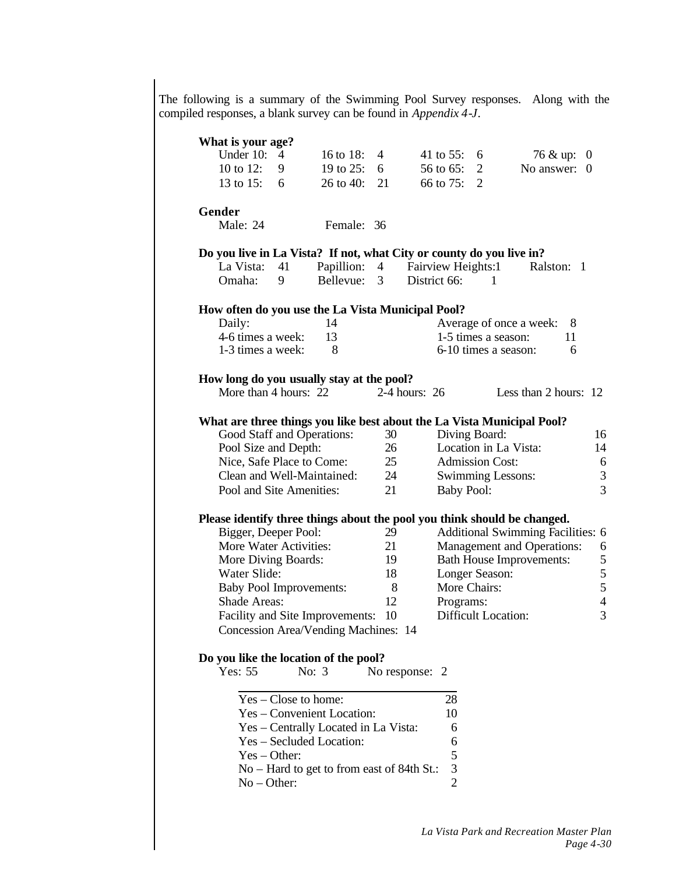The following is a summary of the Swimming Pool Survey responses. Along with the compiled responses, a blank survey can be found in *Appendix 4-J*.

| What is your age?                                                    |                        |                                            |    |                    |                   |                                                                          |                  |
|----------------------------------------------------------------------|------------------------|--------------------------------------------|----|--------------------|-------------------|--------------------------------------------------------------------------|------------------|
| Under 10:                                                            | 4                      | 16 to 18:                                  | 4  | 41 to 55:          | 6                 | 76 & up:                                                                 | $\boldsymbol{0}$ |
| 10 to 12:                                                            | 9                      | 19 to 25:                                  | 6  | 56 to 65:          | $\overline{2}$    | No answer:                                                               | $\Omega$         |
| 13 to 15:                                                            | 6                      | 26 to 40:                                  | 21 | 66 to 75:          | $\overline{2}$    |                                                                          |                  |
| Gender                                                               |                        |                                            |    |                    |                   |                                                                          |                  |
| Male: 24                                                             |                        | Female: 36                                 |    |                    |                   |                                                                          |                  |
| Do you live in La Vista? If not, what City or county do you live in? |                        |                                            |    |                    |                   |                                                                          |                  |
| La Vista:                                                            | 41                     | Papillion: 4                               |    | Fairview Heights:1 |                   | Ralston: 1                                                               |                  |
| Omaha:                                                               | 9                      | Bellevue:                                  | 3  | District 66:       |                   | 1                                                                        |                  |
| How often do you use the La Vista Municipal Pool?                    |                        |                                            |    |                    |                   |                                                                          |                  |
| Daily:                                                               |                        | 14                                         |    |                    |                   | Average of once a week:<br>8                                             |                  |
| 4-6 times a week:                                                    |                        | 13                                         |    |                    |                   | 1-5 times a season:<br>11                                                |                  |
| 1-3 times a week:                                                    |                        | 8                                          |    |                    |                   | 6-10 times a season:<br>6                                                |                  |
| How long do you usually stay at the pool?                            |                        |                                            |    |                    |                   |                                                                          |                  |
| More than 4 hours: 22                                                |                        |                                            |    | $2-4$ hours: 26    |                   | Less than 2 hours: 12                                                    |                  |
|                                                                      |                        |                                            |    |                    |                   | What are three things you like best about the La Vista Municipal Pool?   |                  |
| Good Staff and Operations:                                           |                        |                                            | 30 |                    | Diving Board:     |                                                                          | 16               |
| Pool Size and Depth:                                                 |                        |                                            | 26 |                    |                   | Location in La Vista:                                                    | 14               |
| Nice, Safe Place to Come:                                            |                        |                                            | 25 |                    |                   | <b>Admission Cost:</b>                                                   | 6                |
| Clean and Well-Maintained:                                           |                        |                                            | 24 |                    |                   | <b>Swimming Lessons:</b>                                                 | $\mathfrak{Z}$   |
| Pool and Site Amenities:                                             |                        |                                            | 21 |                    | <b>Baby Pool:</b> |                                                                          | $\overline{3}$   |
|                                                                      |                        |                                            |    |                    |                   | Please identify three things about the pool you think should be changed. |                  |
| Bigger, Deeper Pool:                                                 |                        |                                            | 29 |                    |                   | Additional Swimming Facilities: 6                                        |                  |
| More Water Activities:                                               |                        |                                            | 21 |                    |                   | Management and Operations:                                               | 6                |
| More Diving Boards:                                                  |                        |                                            | 19 |                    |                   | <b>Bath House Improvements:</b>                                          | 5                |
| Water Slide:                                                         |                        |                                            | 18 |                    | Longer Season:    |                                                                          | 5                |
| <b>Baby Pool Improvements:</b>                                       |                        |                                            | 8  |                    | More Chairs:      |                                                                          | 5                |
| Shade Areas:                                                         |                        |                                            | 12 |                    | Programs:         |                                                                          | $\overline{4}$   |
|                                                                      |                        | Facility and Site Improvements:            | 10 |                    |                   | Difficult Location:                                                      | 3                |
|                                                                      |                        | Concession Area/Vending Machines: 14       |    |                    |                   |                                                                          |                  |
| Do you like the location of the pool?                                |                        |                                            |    |                    |                   |                                                                          |                  |
| Yes: 55                                                              |                        | No: $3$                                    |    | No response: 2     |                   |                                                                          |                  |
|                                                                      | $Yes - Close$ to home: |                                            |    |                    | 28                |                                                                          |                  |
|                                                                      |                        | Yes – Convenient Location:                 |    |                    | 10                |                                                                          |                  |
|                                                                      |                        | Yes - Centrally Located in La Vista:       |    |                    | 6                 |                                                                          |                  |
|                                                                      |                        | Yes - Secluded Location:                   |    |                    | 6                 |                                                                          |                  |
| $Yes - Other:$                                                       |                        |                                            |    |                    | 5                 |                                                                          |                  |
|                                                                      |                        | No – Hard to get to from east of 84th St.: |    |                    | 3                 |                                                                          |                  |
| $No$ – Other:                                                        |                        |                                            |    |                    | $\overline{2}$    |                                                                          |                  |
|                                                                      |                        |                                            |    |                    |                   |                                                                          |                  |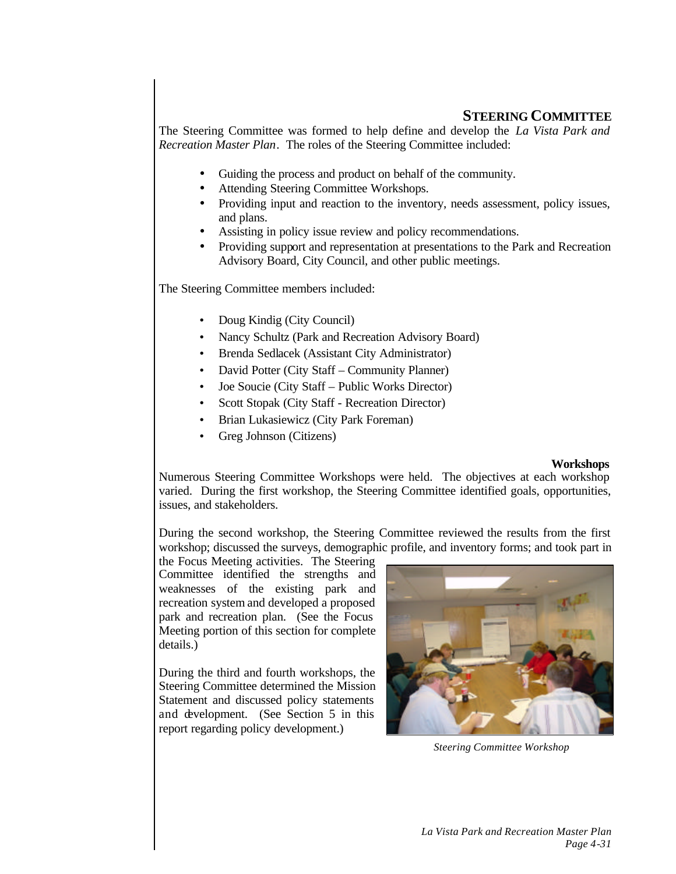# **STEERING COMMITTEE**

The Steering Committee was formed to help define and develop the *La Vista Park and Recreation Master Plan*. The roles of the Steering Committee included:

- Guiding the process and product on behalf of the community.
- Attending Steering Committee Workshops.
- Providing input and reaction to the inventory, needs assessment, policy issues, and plans.
- Assisting in policy issue review and policy recommendations.
- Providing support and representation at presentations to the Park and Recreation Advisory Board, City Council, and other public meetings.

The Steering Committee members included:

- Doug Kindig (City Council)
- Nancy Schultz (Park and Recreation Advisory Board)
- Brenda Sedlacek (Assistant City Administrator)
- David Potter (City Staff Community Planner)
- Joe Soucie (City Staff Public Works Director)
- Scott Stopak (City Staff Recreation Director)
- Brian Lukasiewicz (City Park Foreman)
- Greg Johnson (Citizens)

# **Workshops**

Numerous Steering Committee Workshops were held. The objectives at each workshop varied. During the first workshop, the Steering Committee identified goals, opportunities, issues, and stakeholders.

During the second workshop, the Steering Committee reviewed the results from the first workshop; discussed the surveys, demographic profile, and inventory forms; and took part in

the Focus Meeting activities. The Steering Committee identified the strengths and weaknesses of the existing park and recreation system and developed a proposed park and recreation plan. (See the Focus Meeting portion of this section for complete details.)

During the third and fourth workshops, the Steering Committee determined the Mission Statement and discussed policy statements and development. (See Section 5 in this report regarding policy development.)



*Steering Committee Workshop*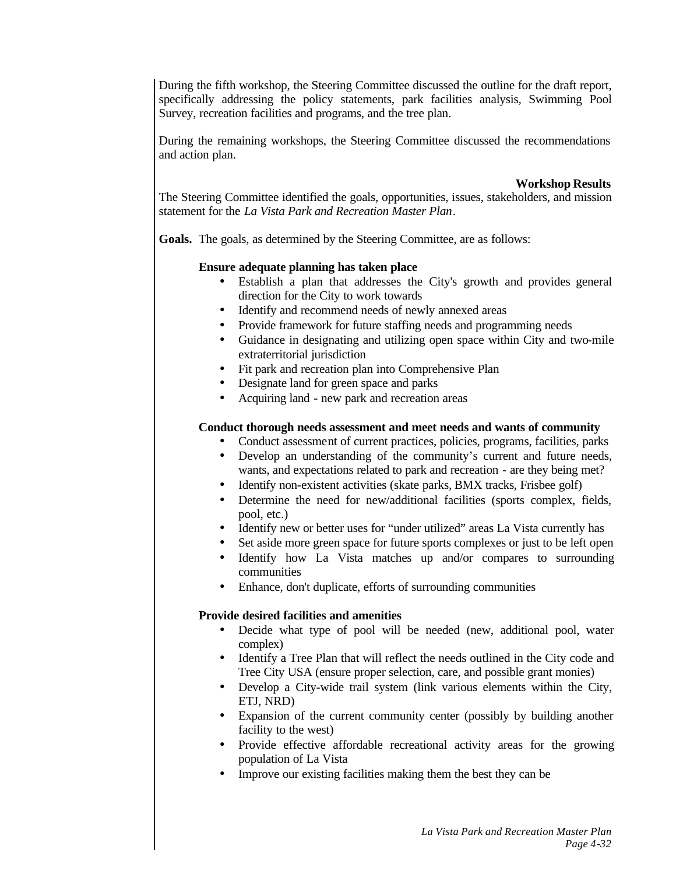During the fifth workshop, the Steering Committee discussed the outline for the draft report, specifically addressing the policy statements, park facilities analysis, Swimming Pool Survey, recreation facilities and programs, and the tree plan.

During the remaining workshops, the Steering Committee discussed the recommendations and action plan.

**Workshop Results**

The Steering Committee identified the goals, opportunities, issues, stakeholders, and mission statement for the *La Vista Park and Recreation Master Plan*.

**Goals.** The goals, as determined by the Steering Committee, are as follows:

### **Ensure adequate planning has taken place**

- Establish a plan that addresses the City's growth and provides general direction for the City to work towards
- Identify and recommend needs of newly annexed areas
- Provide framework for future staffing needs and programming needs
- Guidance in designating and utilizing open space within City and two-mile extraterritorial jurisdiction
- Fit park and recreation plan into Comprehensive Plan
- Designate land for green space and parks
- Acquiring land new park and recreation areas

# **Conduct thorough needs assessment and meet needs and wants of community**

- Conduct assessment of current practices, policies, programs, facilities, parks
- Develop an understanding of the community's current and future needs, wants, and expectations related to park and recreation - are they being met?
- Identify non-existent activities (skate parks, BMX tracks, Frisbee golf)
- Determine the need for new/additional facilities (sports complex, fields, pool, etc.)
- Identify new or better uses for "under utilized" areas La Vista currently has
- Set aside more green space for future sports complexes or just to be left open
- Identify how La Vista matches up and/or compares to surrounding communities
- Enhance, don't duplicate, efforts of surrounding communities

# **Provide desired facilities and amenities**

- Decide what type of pool will be needed (new, additional pool, water complex)
- Identify a Tree Plan that will reflect the needs outlined in the City code and Tree City USA (ensure proper selection, care, and possible grant monies)
- Develop a City-wide trail system (link various elements within the City, ETJ, NRD)
- Expansion of the current community center (possibly by building another facility to the west)
- Provide effective affordable recreational activity areas for the growing population of La Vista
- Improve our existing facilities making them the best they can be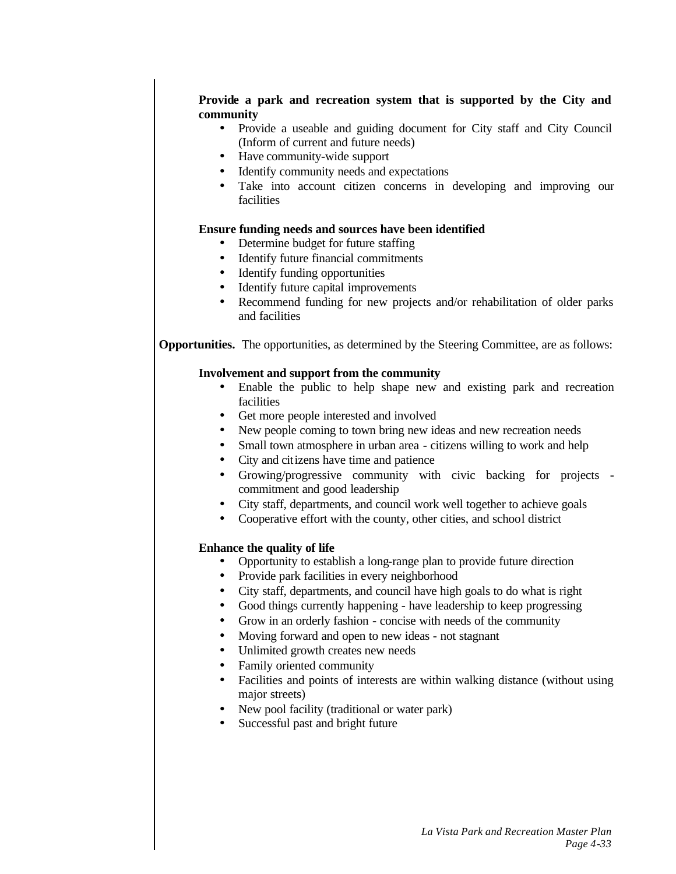# **Provide a park and recreation system that is supported by the City and community**

- Provide a useable and guiding document for City staff and City Council (Inform of current and future needs)
- Have community-wide support
- Identify community needs and expectations
- Take into account citizen concerns in developing and improving our facilities

# **Ensure funding needs and sources have been identified**

- Determine budget for future staffing
- Identify future financial commitments
- Identify funding opportunities
- Identify future capital improvements
- Recommend funding for new projects and/or rehabilitation of older parks and facilities

**Opportunities.** The opportunities, as determined by the Steering Committee, are as follows:

# **Involvement and support from the community**

- Enable the public to help shape new and existing park and recreation facilities
- Get more people interested and involved
- New people coming to town bring new ideas and new recreation needs
- Small town atmosphere in urban area citizens willing to work and help
- City and citizens have time and patience
- Growing/progressive community with civic backing for projects commitment and good leadership
- City staff, departments, and council work well together to achieve goals
- Cooperative effort with the county, other cities, and school district

# **Enhance the quality of life**

- Opportunity to establish a long-range plan to provide future direction
- Provide park facilities in every neighborhood
- City staff, departments, and council have high goals to do what is right
- Good things currently happening have leadership to keep progressing
- Grow in an orderly fashion concise with needs of the community
- Moving forward and open to new ideas not stagnant
- Unlimited growth creates new needs
- Family oriented community
- Facilities and points of interests are within walking distance (without using major streets)
- New pool facility (traditional or water park)
- Successful past and bright future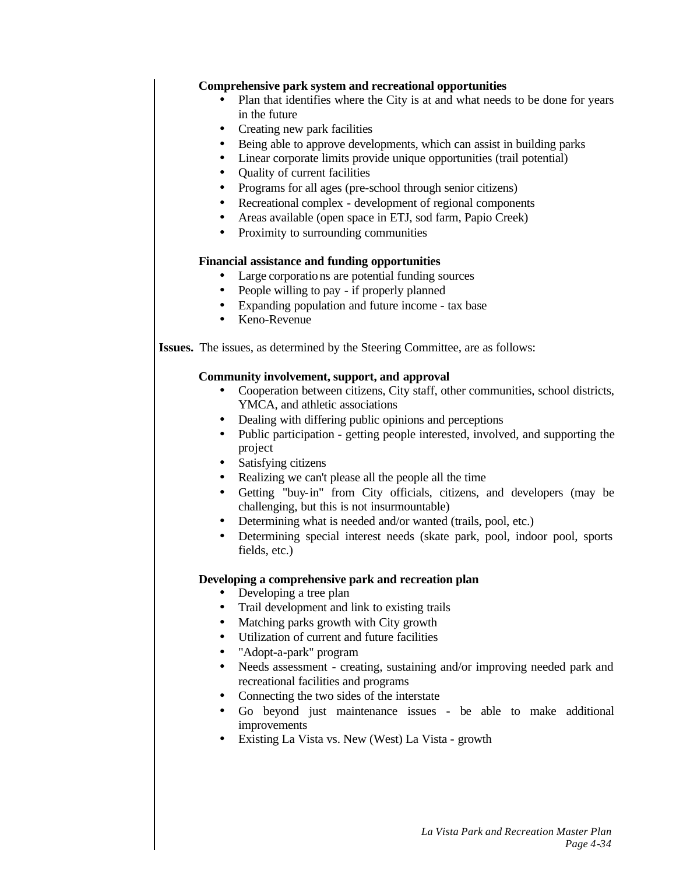### **Comprehensive park system and recreational opportunities**

- Plan that identifies where the City is at and what needs to be done for years in the future
- Creating new park facilities
- Being able to approve developments, which can assist in building parks
- Linear corporate limits provide unique opportunities (trail potential)
- Quality of current facilities
- Programs for all ages (pre-school through senior citizens)
- Recreational complex development of regional components
- Areas available (open space in ETJ, sod farm, Papio Creek)
- Proximity to surrounding communities

### **Financial assistance and funding opportunities**

- Large corporations are potential funding sources
- People willing to pay if properly planned
- Expanding population and future income tax base
- Keno-Revenue

**Issues.** The issues, as determined by the Steering Committee, are as follows:

### **Community involvement, support, and approval**

- Cooperation between citizens, City staff, other communities, school districts, YMCA, and athletic associations
- Dealing with differing public opinions and perceptions
- Public participation getting people interested, involved, and supporting the project
- Satisfying citizens
- Realizing we can't please all the people all the time
- Getting "buy-in" from City officials, citizens, and developers (may be challenging, but this is not insurmountable)
- Determining what is needed and/or wanted (trails, pool, etc.)
- Determining special interest needs (skate park, pool, indoor pool, sports fields, etc.)

# **Developing a comprehensive park and recreation plan**

- Developing a tree plan
	- Trail development and link to existing trails
	- Matching parks growth with City growth
- Utilization of current and future facilities
- "Adopt-a-park" program
- Needs assessment creating, sustaining and/or improving needed park and recreational facilities and programs
- Connecting the two sides of the interstate
- Go beyond just maintenance issues be able to make additional improvements
- Existing La Vista vs. New (West) La Vista growth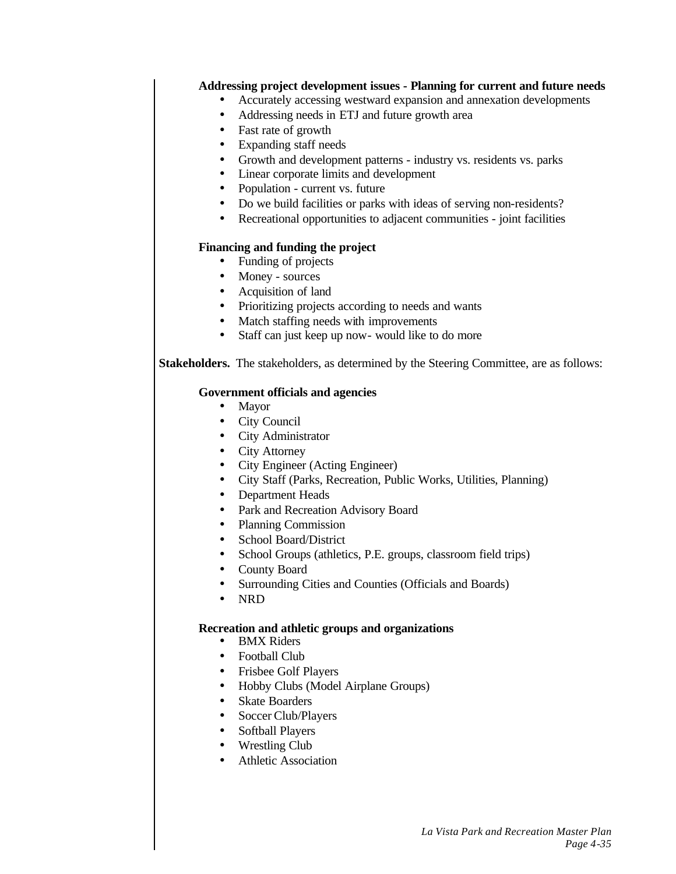# **Addressing project development issues - Planning for current and future needs**

- Accurately accessing westward expansion and annexation developments
- Addressing needs in ETJ and future growth area
- Fast rate of growth
- Expanding staff needs
- Growth and development patterns industry vs. residents vs. parks
- Linear corporate limits and development
- Population current vs. future
- Do we build facilities or parks with ideas of serving non-residents?
- Recreational opportunities to adjacent communities joint facilities

# **Financing and funding the project**

- Funding of projects
- Money sources
- Acquisition of land
- Prioritizing projects according to needs and wants
- Match staffing needs with improvements
- Staff can just keep up now- would like to do more

**Stakeholders.** The stakeholders, as determined by the Steering Committee, are as follows:

# **Government officials and agencies**

- Mayor
- City Council
- City Administrator
- City Attorney
- City Engineer (Acting Engineer)
- City Staff (Parks, Recreation, Public Works, Utilities, Planning)
- Department Heads
- Park and Recreation Advisory Board
- Planning Commission
- School Board/District
- School Groups (athletics, P.E. groups, classroom field trips)
- County Board
- Surrounding Cities and Counties (Officials and Boards)
- NRD

# **Recreation and athletic groups and organizations**

- BMX Riders
- Football Club
- Frisbee Golf Players
- Hobby Clubs (Model Airplane Groups)
- Skate Boarders
- Soccer Club/Players
- Softball Players
- Wrestling Club
- Athletic Association